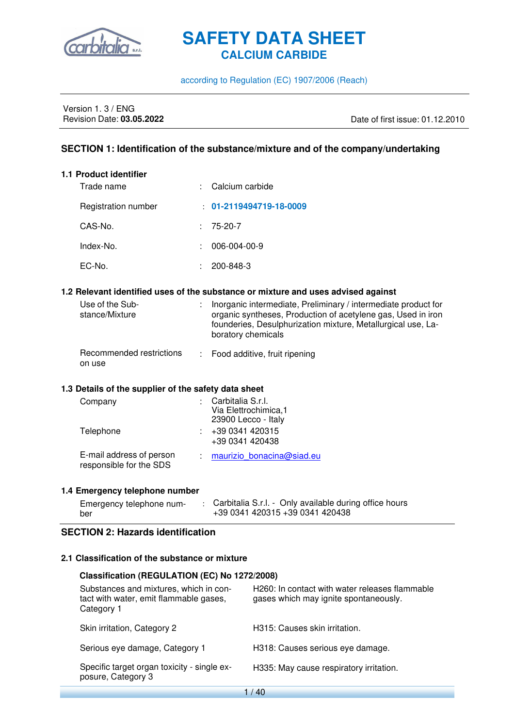

#### according to Regulation (EC) 1907/2006 (Reach)

## Version 1. 3 / ENG<br>Revision Date: **03.05.2022**

Revision Date: **03.05.2022** Date of first issue: 01.12.2010

#### **SECTION 1: Identification of the substance/mixture and of the company/undertaking**

## **1.1 Product identifier**

| Trade name          | : Calcium carbide               |
|---------------------|---------------------------------|
| Registration number | $: 01 - 2119494719 - 18 - 0009$ |
| CAS-No.             | $: 75-20-7$                     |
| Index-No.           | 006-004-00-9                    |
| EC-No.              | 200-848-3                       |

#### **1.2 Relevant identified uses of the substance or mixture and uses advised against**

| Use of the Sub-<br>stance/Mixture  | : Inorganic intermediate, Preliminary / intermediate product for<br>organic syntheses, Production of acetylene gas, Used in iron<br>founderies, Desulphurization mixture, Metallurgical use, La-<br>boratory chemicals |
|------------------------------------|------------------------------------------------------------------------------------------------------------------------------------------------------------------------------------------------------------------------|
| Recommended restrictions<br>on use | : Food additive, fruit ripening                                                                                                                                                                                        |

#### **1.3 Details of the supplier of the safety data sheet**

| Company                                             | Carbitalia S.r.l.<br>Via Elettrochimica, 1<br>23900 Lecco - Italy |
|-----------------------------------------------------|-------------------------------------------------------------------|
| Telephone                                           | +39 0341 420315<br>+39 0341 420438                                |
| E-mail address of person<br>responsible for the SDS | maurizio bonacina@siad.eu                                         |

#### **1.4 Emergency telephone number**

| Emergency telephone num- | Carbitalia S.r.l. - Only available during office hours |
|--------------------------|--------------------------------------------------------|
| ber                      | +39 0341 420315 +39 0341 420438                        |

#### **SECTION 2: Hazards identification**

#### **2.1 Classification of the substance or mixture**

| Classification (REGULATION (EC) No 1272/2008)                                                  |                                                                                         |  |  |  |  |
|------------------------------------------------------------------------------------------------|-----------------------------------------------------------------------------------------|--|--|--|--|
| Substances and mixtures, which in con-<br>tact with water, emit flammable gases,<br>Category 1 | H260: In contact with water releases flammable<br>gases which may ignite spontaneously. |  |  |  |  |
| Skin irritation, Category 2                                                                    | H315: Causes skin irritation.                                                           |  |  |  |  |
| Serious eye damage, Category 1                                                                 | H318: Causes serious eye damage.                                                        |  |  |  |  |
| Specific target organ toxicity - single ex-<br>posure, Category 3                              | H335: May cause respiratory irritation.                                                 |  |  |  |  |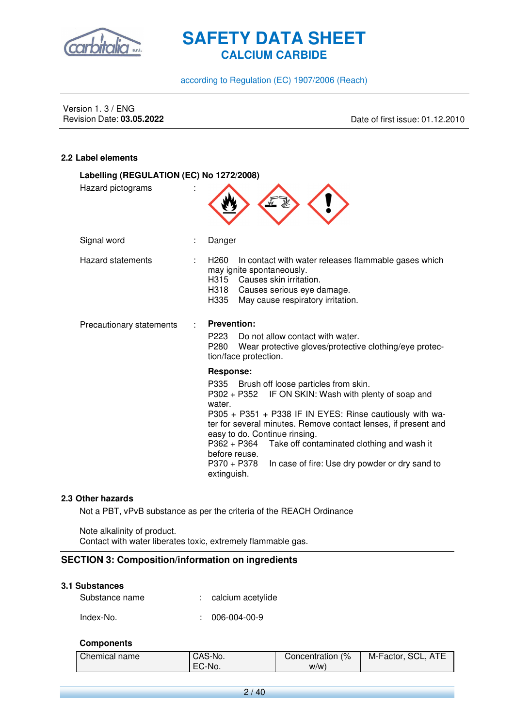

according to Regulation (EC) 1907/2006 (Reach)

Version 1. 3 / ENG<br>Revision Date: 03.05.2022

Revision Date: **03.05.2022** Date of first issue: 01.12.2010

#### **2.2 Label elements**

| Labelling (REGULATION (EC) No 1272/2008) |                                                                                                                                                                                                                                                                                                                                                                                                                                                                   |
|------------------------------------------|-------------------------------------------------------------------------------------------------------------------------------------------------------------------------------------------------------------------------------------------------------------------------------------------------------------------------------------------------------------------------------------------------------------------------------------------------------------------|
| Hazard pictograms                        |                                                                                                                                                                                                                                                                                                                                                                                                                                                                   |
| Signal word                              | Danger                                                                                                                                                                                                                                                                                                                                                                                                                                                            |
| Hazard statements                        | H <sub>260</sub><br>In contact with water releases flammable gases which<br>may ignite spontaneously.<br>H315 Causes skin irritation.<br>H318 Causes serious eye damage.<br>H335<br>May cause respiratory irritation.                                                                                                                                                                                                                                             |
| Precautionary statements                 | <b>Prevention:</b><br>P223<br>Do not allow contact with water.<br>P280<br>Wear protective gloves/protective clothing/eye protec-<br>tion/face protection.                                                                                                                                                                                                                                                                                                         |
|                                          | <b>Response:</b><br>P335 Brush off loose particles from skin.<br>P302 + P352<br>IF ON SKIN: Wash with plenty of soap and<br>water.<br>P305 + P351 + P338 IF IN EYES: Rinse cautiously with wa-<br>ter for several minutes. Remove contact lenses, if present and<br>easy to do. Continue rinsing.<br>Take off contaminated clothing and wash it<br>$P362 + P364$<br>before reuse.<br>P370 + P378<br>In case of fire: Use dry powder or dry sand to<br>extinguish. |

#### **2.3 Other hazards**

Not a PBT, vPvB substance as per the criteria of the REACH Ordinance

Note alkalinity of product. Contact with water liberates toxic, extremely flammable gas.

#### **SECTION 3: Composition/information on ingredients**

| 3.1 Substances |                     |
|----------------|---------------------|
| Substance name | : calcium acetylide |
| Index-No.      | $: 006-004-00-9$    |

#### **Components**

| Chemical name | CAS-No. | (%<br>Concentration | <b>ATE</b><br>M-Factor, SCL, |
|---------------|---------|---------------------|------------------------------|
|               | EC-No.  | W/W)                |                              |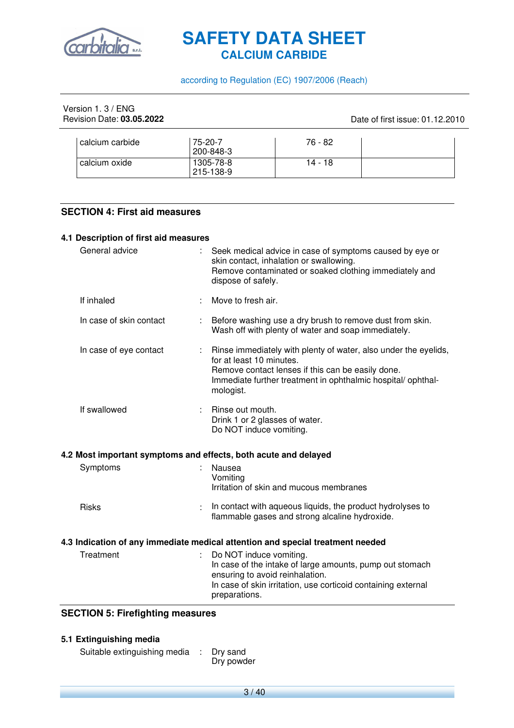

according to Regulation (EC) 1907/2006 (Reach)

| Version 1, 3 / ENG        |
|---------------------------|
| Revision Date: 03.05.2022 |

Date of first issue: 01.12.2010

| calcium carbide | 75-20-7<br>200-848-3   | 76 - 82 |  |
|-----------------|------------------------|---------|--|
| calcium oxide   | 1305-78-8<br>215-138-9 | 14 - 18 |  |

#### **SECTION 4: First aid measures**

#### **4.1 Description of first aid measures**

| General advice          | Seek medical advice in case of symptoms caused by eye or<br>skin contact, inhalation or swallowing.<br>Remove contaminated or soaked clothing immediately and<br>dispose of safely.                                          |
|-------------------------|------------------------------------------------------------------------------------------------------------------------------------------------------------------------------------------------------------------------------|
| If inhaled              | Move to fresh air.                                                                                                                                                                                                           |
| In case of skin contact | Before washing use a dry brush to remove dust from skin.<br>Wash off with plenty of water and soap immediately.                                                                                                              |
| In case of eye contact  | Rinse immediately with plenty of water, also under the eyelids,<br>for at least 10 minutes.<br>Remove contact lenses if this can be easily done.<br>Immediate further treatment in ophthalmic hospital/ophthal-<br>mologist. |
| If swallowed            | Rinse out mouth.<br>Drink 1 or 2 glasses of water.<br>Do NOT induce vomiting.                                                                                                                                                |
|                         | 4.2 Most important symptoms and effects, both acute and delayed                                                                                                                                                              |
| Symptoms                | Nausea<br>Vomiting<br>Irritation of skin and mucous membranes                                                                                                                                                                |
| <b>Risks</b>            | In contact with aqueous liquids, the product hydrolyses to<br>flammable gases and strong alcaline hydroxide.                                                                                                                 |
|                         | 4.3 Indication of any immediate medical attention and special treatment needed                                                                                                                                               |
| Treatment               | Do NOT induce vomiting.<br>In case of the intake of large amounts, pump out stomach<br>ensuring to avoid reinhalation.<br>In case of skin irritation, use corticoid containing external<br>preparations.                     |
| .                       |                                                                                                                                                                                                                              |

#### **SECTION 5: Firefighting measures**

#### **5.1 Extinguishing media**

Suitable extinguishing media : Dry sand Dry powder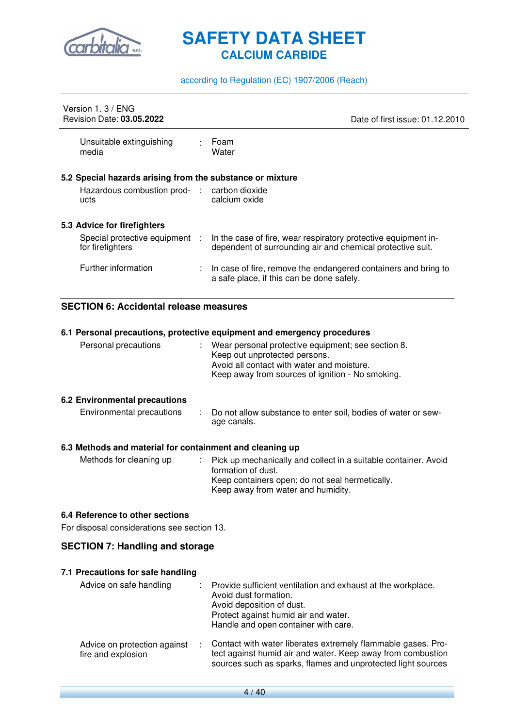

#### according to Regulation (EC) 1907/2006 (Reach)

| Version 1, 3 / ENG<br><b>Revision Date: 03.05.2022</b>                                                           |    | Date of first issue: 01.12.2010                                                                                                                                           |
|------------------------------------------------------------------------------------------------------------------|----|---------------------------------------------------------------------------------------------------------------------------------------------------------------------------|
| Unsuitable extinguishing<br>media                                                                                |    | Foam<br>Water                                                                                                                                                             |
| 5.2 Special hazards arising from the substance or mixture<br>Hazardous combustion prod- : carbon dioxide<br>ucts |    | calcium oxide                                                                                                                                                             |
| 5.3 Advice for firefighters<br>Special protective equipment :                                                    |    | In the case of fire, wear respiratory protective equipment in-                                                                                                            |
| for firefighters<br>Further information                                                                          | ÷. | dependent of surrounding air and chemical protective suit.<br>In case of fire, remove the endangered containers and bring to<br>a safe place, if this can be done safely. |

#### **SECTION 6: Accidental release measures**

|                                                          |    | 6.1 Personal precautions, protective equipment and emergency procedures                                                                                                                 |
|----------------------------------------------------------|----|-----------------------------------------------------------------------------------------------------------------------------------------------------------------------------------------|
| Personal precautions                                     |    | : Wear personal protective equipment; see section 8.<br>Keep out unprotected persons.<br>Avoid all contact with water and moisture.<br>Keep away from sources of ignition - No smoking. |
| 6.2 Environmental precautions                            |    |                                                                                                                                                                                         |
| Environmental precautions                                |    | : Do not allow substance to enter soil, bodies of water or sew-<br>age canals.                                                                                                          |
| 6.3 Methods and material for containment and cleaning up |    |                                                                                                                                                                                         |
| Methods for cleaning up                                  | ÷. | Pick up mechanically and collect in a suitable container. Avoid<br>formation of dust.<br>Keep containers open; do not seal hermetically.<br>Keep away from water and humidity.          |

#### **6.4 Reference to other sections**

For disposal considerations see section 13.

#### **SECTION 7: Handling and storage**

#### **7.1 Precautions for safe handling**

| Advice on safe handling                            | Provide sufficient ventilation and exhaust at the workplace.<br>Avoid dust formation.<br>Avoid deposition of dust.<br>Protect against humid air and water.<br>Handle and open container with care. |
|----------------------------------------------------|----------------------------------------------------------------------------------------------------------------------------------------------------------------------------------------------------|
| Advice on protection against<br>fire and explosion | Contact with water liberates extremely flammable gases. Pro-<br>tect against humid air and water. Keep away from combustion<br>sources such as sparks, flames and unprotected light sources        |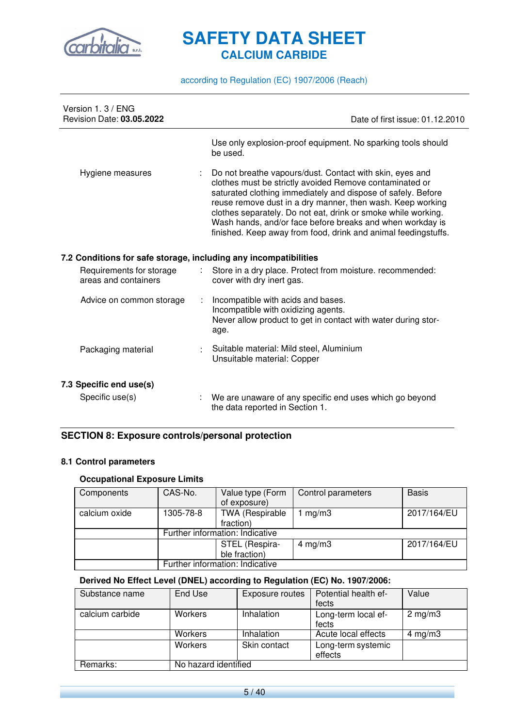

according to Regulation (EC) 1907/2006 (Reach)

| Version 1, 3 / ENG<br>Revision Date: 03.05.2022                  | Date of first issue: 01.12.2010                                                                                                                                                                                                                                                                                                                                                                                                                   |
|------------------------------------------------------------------|---------------------------------------------------------------------------------------------------------------------------------------------------------------------------------------------------------------------------------------------------------------------------------------------------------------------------------------------------------------------------------------------------------------------------------------------------|
|                                                                  | Use only explosion-proof equipment. No sparking tools should<br>be used.                                                                                                                                                                                                                                                                                                                                                                          |
| Hygiene measures                                                 | Do not breathe vapours/dust. Contact with skin, eyes and<br>clothes must be strictly avoided Remove contaminated or<br>saturated clothing immediately and dispose of safely. Before<br>reuse remove dust in a dry manner, then wash. Keep working<br>clothes separately. Do not eat, drink or smoke while working.<br>Wash hands, and/or face before breaks and when workday is<br>finished. Keep away from food, drink and animal feedingstuffs. |
| 7.2 Conditions for safe storage, including any incompatibilities |                                                                                                                                                                                                                                                                                                                                                                                                                                                   |
| Requirements for storage<br>areas and containers                 | Store in a dry place. Protect from moisture. recommended:<br>cover with dry inert gas.                                                                                                                                                                                                                                                                                                                                                            |
| Advice on common storage<br>÷                                    | Incompatible with acids and bases.<br>Incompatible with oxidizing agents.<br>Never allow product to get in contact with water during stor-<br>age.                                                                                                                                                                                                                                                                                                |
| Packaging material                                               | Suitable material: Mild steel, Aluminium<br>Unsuitable material: Copper                                                                                                                                                                                                                                                                                                                                                                           |
| 7.3 Specific end use(s)                                          |                                                                                                                                                                                                                                                                                                                                                                                                                                                   |
| Specific use(s)                                                  | We are unaware of any specific end uses which go beyond<br>the data reported in Section 1.                                                                                                                                                                                                                                                                                                                                                        |

#### **SECTION 8: Exposure controls/personal protection**

#### **8.1 Control parameters**

#### **Occupational Exposure Limits**

| Components    | CAS-No.                         | Value type (Form       | Control parameters | <b>Basis</b> |
|---------------|---------------------------------|------------------------|--------------------|--------------|
|               |                                 | of exposure)           |                    |              |
| calcium oxide | 1305-78-8                       | <b>TWA (Respirable</b> | mg/m3              | 2017/164/EU  |
|               |                                 | fraction)              |                    |              |
|               | Further information: Indicative |                        |                    |              |
|               |                                 | STEL (Respira-         | $4 \text{ mg/m}$ 3 | 2017/164/EU  |
|               |                                 | ble fraction)          |                    |              |
|               | Further information: Indicative |                        |                    |              |

#### **Derived No Effect Level (DNEL) according to Regulation (EC) No. 1907/2006:**

| Substance name  | End Use              | Exposure routes | Potential health ef- | Value            |
|-----------------|----------------------|-----------------|----------------------|------------------|
|                 |                      |                 | fects                |                  |
| calcium carbide | Workers              | Inhalation      | Long-term local ef-  | $2 \text{ mg/m}$ |
|                 |                      |                 | fects                |                  |
|                 | Workers              | Inhalation      | Acute local effects  | 4 mg/m $3$       |
|                 | Workers              | Skin contact    | Long-term systemic   |                  |
|                 |                      |                 | effects              |                  |
| Remarks:        | No hazard identified |                 |                      |                  |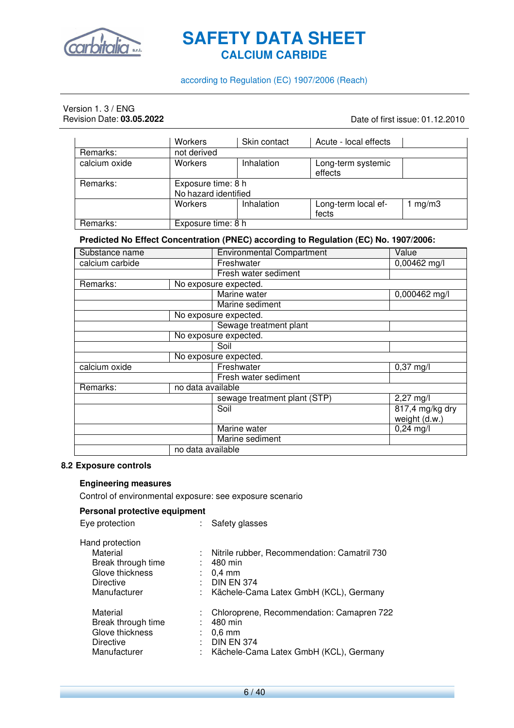

#### according to Regulation (EC) 1907/2006 (Reach)

# Version 1. 3 / ENG<br>Revision Date: 03.05.2022

Date of first issue: 01.12.2010

|               | Workers                                    | Skin contact | Acute - local effects         |       |
|---------------|--------------------------------------------|--------------|-------------------------------|-------|
| Remarks:      | not derived                                |              |                               |       |
| calcium oxide | <b>Workers</b>                             | Inhalation   | Long-term systemic<br>effects |       |
| Remarks:      | Exposure time: 8 h<br>No hazard identified |              |                               |       |
|               | <b>Workers</b>                             | Inhalation   |                               |       |
|               |                                            |              | Long-term local ef-<br>fects  | mg/m3 |
| Remarks:      | Exposure time: 8 h                         |              |                               |       |

#### **Predicted No Effect Concentration (PNEC) according to Regulation (EC) No. 1907/2006:**

| Substance name    |                   | <b>Environmental Compartment</b> | Value                            |  |  |  |
|-------------------|-------------------|----------------------------------|----------------------------------|--|--|--|
| calcium carbide   |                   | Freshwater                       | $0,00462$ mg/l                   |  |  |  |
|                   |                   | Fresh water sediment             |                                  |  |  |  |
| Remarks:          |                   | No exposure expected.            |                                  |  |  |  |
|                   |                   | Marine water                     | 0,000462 mg/l                    |  |  |  |
|                   |                   | Marine sediment                  |                                  |  |  |  |
|                   |                   | No exposure expected.            |                                  |  |  |  |
|                   |                   | Sewage treatment plant           |                                  |  |  |  |
|                   |                   | No exposure expected.            |                                  |  |  |  |
|                   |                   | Soil                             |                                  |  |  |  |
|                   |                   | No exposure expected.            |                                  |  |  |  |
| calcium oxide     |                   | Freshwater                       | $0,37 \text{ mg}/I$              |  |  |  |
|                   |                   | Fresh water sediment             |                                  |  |  |  |
| Remarks:          | no data available |                                  |                                  |  |  |  |
|                   |                   | sewage treatment plant (STP)     | $2,27$ mg/l                      |  |  |  |
|                   |                   | Soil                             | 817,4 mg/kg dry<br>weight (d.w.) |  |  |  |
|                   |                   | Marine water                     | $0,24 \text{ mg/l}$              |  |  |  |
|                   |                   | Marine sediment                  |                                  |  |  |  |
| no data available |                   |                                  |                                  |  |  |  |

#### **8.2 Exposure controls**

#### **Engineering measures**

Control of environmental exposure: see exposure scenario

Eye protection : Safety glasses

#### **Personal protective equipment**

| Hand protection<br>Material<br>Break through time<br>Glove thickness<br><b>Directive</b><br>Manufacturer | Nitrile rubber, Recommendation: Camatril 730<br>÷.<br>480 min<br>$0,4$ mm<br><b>DIN EN 374</b><br>Kächele-Cama Latex GmbH (KCL), Germany<br>÷. |
|----------------------------------------------------------------------------------------------------------|------------------------------------------------------------------------------------------------------------------------------------------------|
| Material<br>Break through time<br>Glove thickness<br><b>Directive</b><br>Manufacturer                    | Chloroprene, Recommendation: Camapren 722<br>480 min<br>$0.6$ mm<br><b>DIN EN 374</b><br>Kächele-Cama Latex GmbH (KCL), Germany<br>÷.          |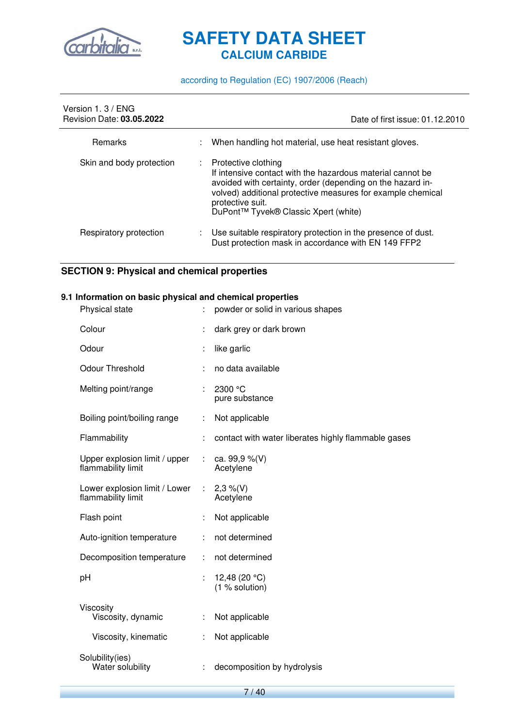

according to Regulation (EC) 1907/2006 (Reach)

| Version 1, 3 / ENG<br><b>Revision Date: 03.05.2022</b> |    | Date of first issue: 01.12.2010                                                                                                                                                                                                                                            |
|--------------------------------------------------------|----|----------------------------------------------------------------------------------------------------------------------------------------------------------------------------------------------------------------------------------------------------------------------------|
| Remarks                                                | ÷. | When handling hot material, use heat resistant gloves.                                                                                                                                                                                                                     |
| Skin and body protection                               | ÷. | Protective clothing<br>If intensive contact with the hazardous material cannot be<br>avoided with certainty, order (depending on the hazard in-<br>volved) additional protective measures for example chemical<br>protective suit.<br>DuPont™ Tyvek® Classic Xpert (white) |
| Respiratory protection                                 |    | Use suitable respiratory protection in the presence of dust.<br>Dust protection mask in accordance with EN 149 FFP2                                                                                                                                                        |

#### **SECTION 9: Physical and chemical properties**

#### **9.1 Information on basic physical and chemical properties**

| Physical state                                      |   | powder or solid in various shapes                   |
|-----------------------------------------------------|---|-----------------------------------------------------|
| Colour                                              |   | dark grey or dark brown                             |
| Odour                                               | t | like garlic                                         |
| <b>Odour Threshold</b>                              | t | no data available                                   |
| Melting point/range                                 | ÷ | 2300 °C<br>pure substance                           |
| Boiling point/boiling range                         | t | Not applicable                                      |
| Flammability                                        | t | contact with water liberates highly flammable gases |
| Upper explosion limit / upper<br>flammability limit |   | ca. 99,9 $%$ (V)<br>Acetylene                       |
| Lower explosion limit / Lower<br>flammability limit | ÷ | $2,3\%$ (V)<br>Acetylene                            |
| Flash point                                         |   | Not applicable                                      |
| Auto-ignition temperature                           |   | not determined                                      |
| Decomposition temperature                           | ÷ | not determined                                      |
| pH                                                  | t | 12,48 (20 $°C$ )<br>(1 % solution)                  |
| Viscosity<br>Viscosity, dynamic                     | ÷ | Not applicable                                      |
| Viscosity, kinematic                                | ÷ | Not applicable                                      |
| Solubility(ies)<br>Water solubility                 |   | decomposition by hydrolysis                         |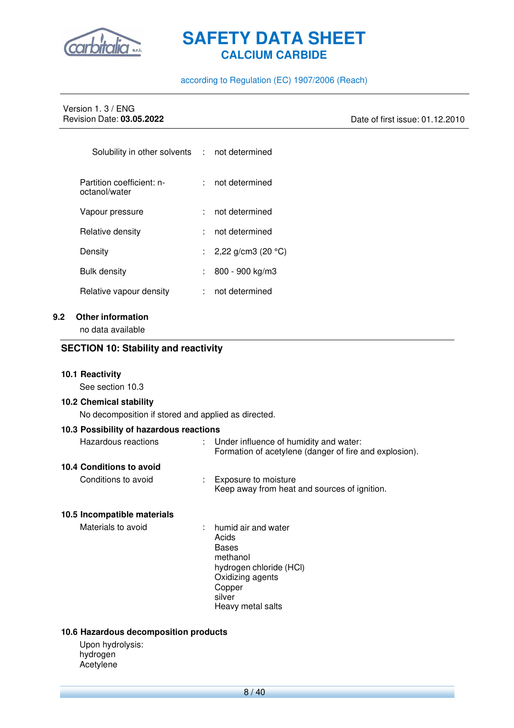

#### according to Regulation (EC) 1907/2006 (Reach)

# Version 1. 3 / ENG<br>Revision Date: 03.05.2022

Revision Date: **03.05.2022** Date of first issue: 01.12.2010

| Solubility in other solvents : not determined |                                |
|-----------------------------------------------|--------------------------------|
| Partition coefficient: n-<br>octanol/water    | not determined                 |
| Vapour pressure                               | not determined                 |
| Relative density                              | not determined                 |
| Density                                       | : 2,22 g/cm3 (20 $^{\circ}$ C) |
| Bulk density                                  | 800 - 900 kg/m3                |
| Relative vapour density                       | not determined                 |

#### **9.2 Other information**

no data available

#### **SECTION 10: Stability and reactivity**

#### **10.1 Reactivity**

See section 10.3

#### **10.2 Chemical stability**

No decomposition if stored and applied as directed.

| 10.3 Possibility of hazardous reactions |                                                                                                    |
|-----------------------------------------|----------------------------------------------------------------------------------------------------|
| Hazardous reactions                     | : Under influence of humidity and water:<br>Formation of acetylene (danger of fire and explosion). |
| 10.4 Conditions to avoid                |                                                                                                    |
| Conditions to avoid                     | Exposure to moisture<br>Keep away from heat and sources of ignition.                               |
| 10.5 Incompatible materials             |                                                                                                    |
| Materials to avoid                      | $:$ humid air and water<br>Acids<br><b>Bases</b><br>methanol<br>hydrogen chloride (HCI)            |

- Oxidizing agents Copper
- silver
- Heavy metal salts

#### **10.6 Hazardous decomposition products**

Upon hydrolysis: hydrogen Acetylene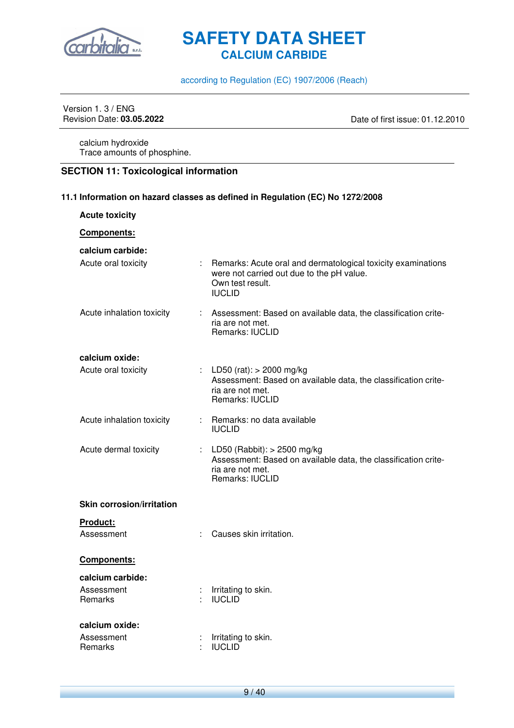

according to Regulation (EC) 1907/2006 (Reach)

## Version 1. 3 / ENG<br>Revision Date: 03.05.2022

Date of first issue: 01.12.2010

calcium hydroxide Trace amounts of phosphine.

#### **SECTION 11: Toxicological information**

**11.1 Information on hazard classes as defined in Regulation (EC) No 1272/2008** 

| <b>Acute toxicity</b>                     |                                                                                                                                                  |
|-------------------------------------------|--------------------------------------------------------------------------------------------------------------------------------------------------|
| Components:                               |                                                                                                                                                  |
| calcium carbide:                          |                                                                                                                                                  |
| Acute oral toxicity                       | : Remarks: Acute oral and dermatological toxicity examinations<br>were not carried out due to the pH value.<br>Own test result.<br><b>IUCLID</b> |
| Acute inhalation toxicity                 | : Assessment: Based on available data, the classification crite-<br>ria are not met.<br><b>Remarks: IUCLID</b>                                   |
| calcium oxide:                            |                                                                                                                                                  |
| Acute oral toxicity                       | : LD50 (rat): $> 2000$ mg/kg<br>Assessment: Based on available data, the classification crite-<br>ria are not met.<br>Remarks: IUCLID            |
| Acute inhalation toxicity                 | : Remarks: no data available<br><b>IUCLID</b>                                                                                                    |
| Acute dermal toxicity                     | : LD50 (Rabbit): $>$ 2500 mg/kg<br>Assessment: Based on available data, the classification crite-<br>ria are not met.<br>Remarks: IUCLID         |
| <b>Skin corrosion/irritation</b>          |                                                                                                                                                  |
| Product:<br>Assessment                    | Causes skin irritation.                                                                                                                          |
| Components:                               |                                                                                                                                                  |
| calcium carbide:<br>Assessment<br>Remarks | Irritating to skin.<br><b>IUCLID</b>                                                                                                             |
| calcium oxide:<br>Assessment<br>Remarks   | Irritating to skin.<br><b>IUCLID</b>                                                                                                             |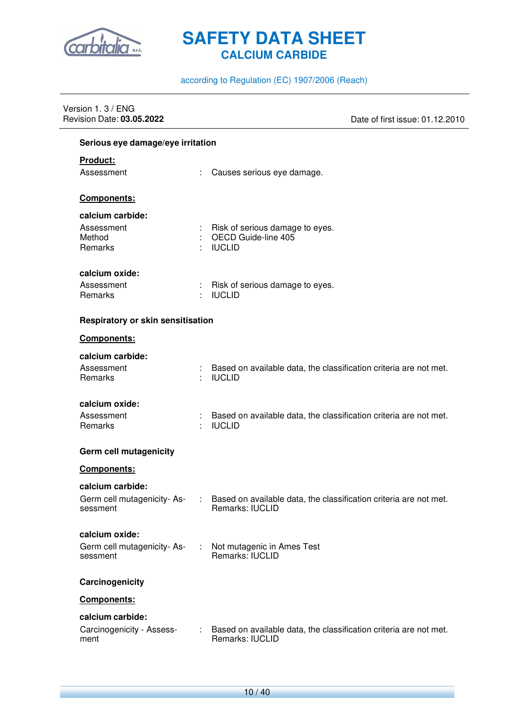

#### according to Regulation (EC) 1907/2006 (Reach)

| Version 1.3 / ENG<br>Revision Date: 03.05.2022             |                                                                                      | Date of first issue: 01.12.2010 |
|------------------------------------------------------------|--------------------------------------------------------------------------------------|---------------------------------|
| Serious eye damage/eye irritation                          |                                                                                      |                                 |
| <b>Product:</b><br>Assessment                              | Causes serious eye damage.                                                           |                                 |
| <b>Components:</b>                                         |                                                                                      |                                 |
| calcium carbide:<br>Assessment<br>Method<br>Remarks        | Risk of serious damage to eyes.<br>OECD Guide-line 405<br><b>IUCLID</b>              |                                 |
| calcium oxide:<br>Assessment<br>Remarks                    | Risk of serious damage to eyes.<br><b>IUCLID</b>                                     |                                 |
| Respiratory or skin sensitisation                          |                                                                                      |                                 |
| Components:                                                |                                                                                      |                                 |
| calcium carbide:<br>Assessment<br>Remarks                  | Based on available data, the classification criteria are not met.<br><b>IUCLID</b>   |                                 |
| calcium oxide:<br>Assessment<br>Remarks                    | Based on available data, the classification criteria are not met.<br><b>IUCLID</b>   |                                 |
| <b>Germ cell mutagenicity</b>                              |                                                                                      |                                 |
| Components:                                                |                                                                                      |                                 |
| calcium carbide:<br>Germ cell mutagenicity-As-<br>sessment | Based on available data, the classification criteria are not met.<br>Remarks: IUCLID |                                 |
| calcium oxide:<br>Germ cell mutagenicity-As-<br>sessment   | Not mutagenic in Ames Test<br>Remarks: IUCLID                                        |                                 |
| Carcinogenicity                                            |                                                                                      |                                 |
| Components:                                                |                                                                                      |                                 |
| calcium carbide:<br>Carcinogenicity - Assess-<br>ment      | Based on available data, the classification criteria are not met.<br>Remarks: IUCLID |                                 |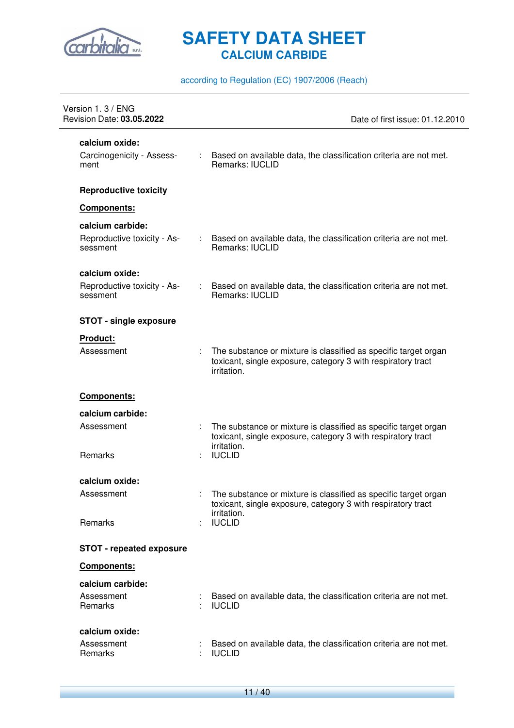

according to Regulation (EC) 1907/2006 (Reach)

| Version 1.3 / ENG<br>Revision Date: 03.05.2022      | Date of first issue: 01.12.2010                                                                                                                |
|-----------------------------------------------------|------------------------------------------------------------------------------------------------------------------------------------------------|
| calcium oxide:<br>Carcinogenicity - Assess-<br>ment | : Based on available data, the classification criteria are not met.<br>Remarks: IUCLID                                                         |
| <b>Reproductive toxicity</b>                        |                                                                                                                                                |
| Components:                                         |                                                                                                                                                |
| calcium carbide:                                    |                                                                                                                                                |
| Reproductive toxicity - As-<br>sessment             | : Based on available data, the classification criteria are not met.<br>Remarks: IUCLID                                                         |
| calcium oxide:                                      |                                                                                                                                                |
| Reproductive toxicity - As-<br>sessment             | Based on available data, the classification criteria are not met.<br>Remarks: IUCLID                                                           |
| <b>STOT - single exposure</b>                       |                                                                                                                                                |
| <b>Product:</b>                                     |                                                                                                                                                |
| Assessment                                          | The substance or mixture is classified as specific target organ<br>toxicant, single exposure, category 3 with respiratory tract<br>irritation. |
| Components:                                         |                                                                                                                                                |
| calcium carbide:                                    |                                                                                                                                                |
| Assessment                                          | The substance or mixture is classified as specific target organ<br>toxicant, single exposure, category 3 with respiratory tract<br>irritation. |
| Remarks                                             | <b>IUCLID</b>                                                                                                                                  |
| calcium oxide:                                      |                                                                                                                                                |
| Assessment                                          | The substance or mixture is classified as specific target organ<br>toxicant, single exposure, category 3 with respiratory tract<br>irritation. |
| Remarks                                             | <b>IUCLID</b>                                                                                                                                  |
| <b>STOT - repeated exposure</b>                     |                                                                                                                                                |
| Components:                                         |                                                                                                                                                |
| calcium carbide:<br>Assessment<br>Remarks           | Based on available data, the classification criteria are not met.<br><b>IUCLID</b>                                                             |
| calcium oxide:<br>Assessment<br>Remarks             | Based on available data, the classification criteria are not met.<br><b>IUCLID</b>                                                             |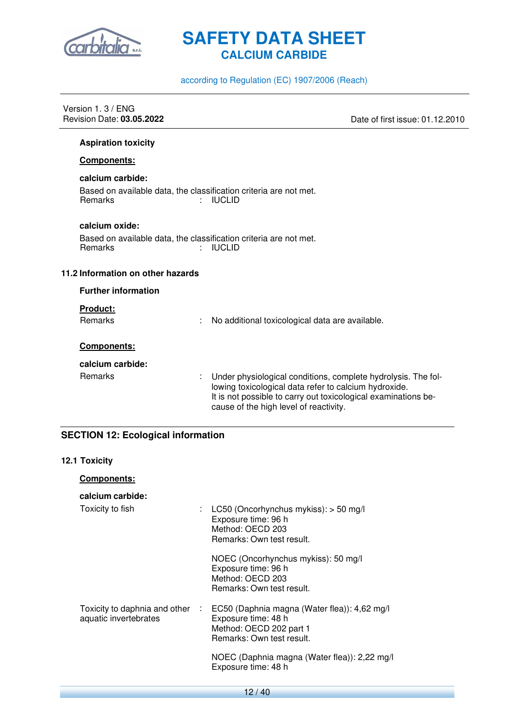

according to Regulation (EC) 1907/2006 (Reach)

| Date of first issue: 01.12.2010                                                                                                                                                          |
|------------------------------------------------------------------------------------------------------------------------------------------------------------------------------------------|
|                                                                                                                                                                                          |
|                                                                                                                                                                                          |
|                                                                                                                                                                                          |
|                                                                                                                                                                                          |
|                                                                                                                                                                                          |
|                                                                                                                                                                                          |
|                                                                                                                                                                                          |
|                                                                                                                                                                                          |
|                                                                                                                                                                                          |
|                                                                                                                                                                                          |
|                                                                                                                                                                                          |
|                                                                                                                                                                                          |
| Under physiological conditions, complete hydrolysis. The fol-<br>lowing toxicological data refer to calcium hydroxide.<br>It is not possible to carry out toxicological examinations be- |
|                                                                                                                                                                                          |

#### **SECTION 12: Ecological information**

#### **12.1 Toxicity**

| <b>Components:</b>                                       |                                                                                                                             |
|----------------------------------------------------------|-----------------------------------------------------------------------------------------------------------------------------|
| calcium carbide:                                         |                                                                                                                             |
| Toxicity to fish                                         | : LC50 (Oncorhynchus mykiss): $>$ 50 mg/l<br>Exposure time: 96 h<br>Method: OECD 203<br>Remarks: Own test result.           |
|                                                          | NOEC (Oncorhynchus mykiss): 50 mg/l<br>Exposure time: 96 h<br>Method: OECD 203<br>Remarks: Own test result.                 |
| Toxicity to daphnia and other :<br>aquatic invertebrates | EC50 (Daphnia magna (Water flea)): 4,62 mg/l<br>Exposure time: 48 h<br>Method: OECD 202 part 1<br>Remarks: Own test result. |
|                                                          | NOEC (Daphnia magna (Water flea)): 2,22 mg/l<br>Exposure time: 48 h                                                         |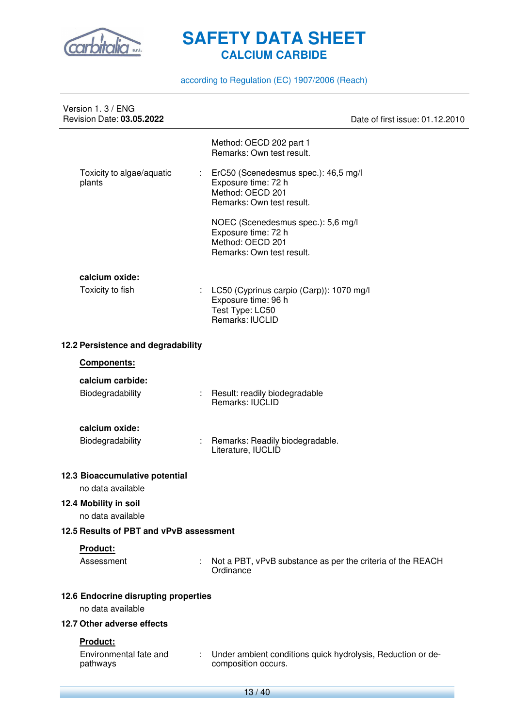

according to Regulation (EC) 1907/2006 (Reach)

| Version 1.3 / ENG<br>Revision Date: 03.05.2022            |               |                                                                                                              | Date of first issue: 01.12.2010 |
|-----------------------------------------------------------|---------------|--------------------------------------------------------------------------------------------------------------|---------------------------------|
|                                                           |               | Method: OECD 202 part 1<br>Remarks: Own test result.                                                         |                                 |
| Toxicity to algae/aquatic<br>plants                       |               | ErC50 (Scenedesmus spec.): 46,5 mg/l<br>Exposure time: 72 h<br>Method: OECD 201<br>Remarks: Own test result. |                                 |
|                                                           |               | NOEC (Scenedesmus spec.): 5,6 mg/l<br>Exposure time: 72 h<br>Method: OECD 201<br>Remarks: Own test result.   |                                 |
| calcium oxide:                                            |               |                                                                                                              |                                 |
| Toxicity to fish                                          | t.            | LC50 (Cyprinus carpio (Carp)): 1070 mg/l<br>Exposure time: 96 h<br>Test Type: LC50<br>Remarks: IUCLID        |                                 |
| 12.2 Persistence and degradability                        |               |                                                                                                              |                                 |
| Components:                                               |               |                                                                                                              |                                 |
| calcium carbide:<br>Biodegradability                      |               | Result: readily biodegradable<br><b>Remarks: IUCLID</b>                                                      |                                 |
|                                                           |               |                                                                                                              |                                 |
| calcium oxide:<br>Biodegradability                        |               | Remarks: Readily biodegradable.<br>Literature, IUCLID                                                        |                                 |
| 12.3 Bioaccumulative potential                            |               |                                                                                                              |                                 |
| no data available                                         |               |                                                                                                              |                                 |
| 12.4 Mobility in soil<br>no data available                |               |                                                                                                              |                                 |
| 12.5 Results of PBT and vPvB assessment                   |               |                                                                                                              |                                 |
| Product:<br>Assessment                                    | ÷.            | Not a PBT, vPvB substance as per the criteria of the REACH<br>Ordinance                                      |                                 |
| 12.6 Endocrine disrupting properties<br>no data available |               |                                                                                                              |                                 |
| 12.7 Other adverse effects                                |               |                                                                                                              |                                 |
| Product:                                                  |               |                                                                                                              |                                 |
| Environmental fate and<br>pathways                        | $\mathcal{L}$ | Under ambient conditions quick hydrolysis, Reduction or de-<br>composition occurs.                           |                                 |
|                                                           |               | $13/40$                                                                                                      |                                 |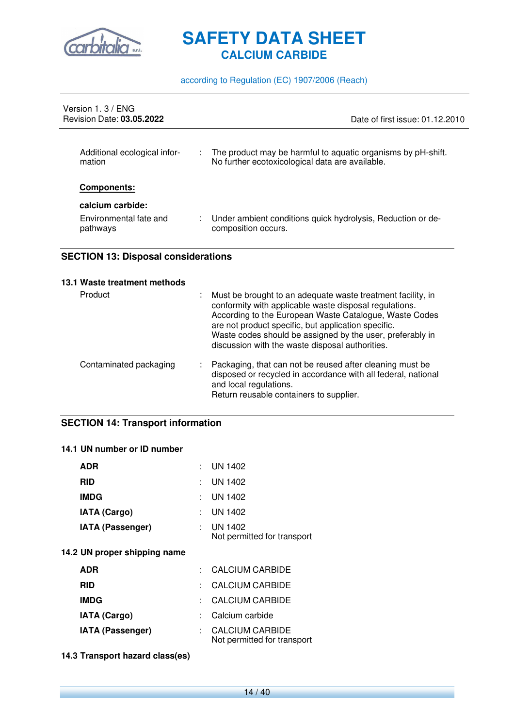

according to Regulation (EC) 1907/2006 (Reach)

| Version 1, 3 / ENG<br><b>Revision Date: 03.05.2022</b> | Date of first issue: 01.12.2010                                                                                       |
|--------------------------------------------------------|-----------------------------------------------------------------------------------------------------------------------|
| Additional ecological infor-<br>mation                 | The product may be harmful to aquatic organisms by pH-shift.<br>÷.<br>No further ecotoxicological data are available. |
| <b>Components:</b>                                     |                                                                                                                       |
| calcium carbide:<br>Environmental fate and<br>pathways | Under ambient conditions quick hydrolysis, Reduction or de-<br>composition occurs.                                    |

#### **SECTION 13: Disposal considerations**

#### **13.1 Waste treatment methods**

| Product                | t. | Must be brought to an adequate waste treatment facility, in<br>conformity with applicable waste disposal regulations.<br>According to the European Waste Catalogue, Waste Codes<br>are not product specific, but application specific.<br>Waste codes should be assigned by the user, preferably in<br>discussion with the waste disposal authorities. |
|------------------------|----|--------------------------------------------------------------------------------------------------------------------------------------------------------------------------------------------------------------------------------------------------------------------------------------------------------------------------------------------------------|
| Contaminated packaging |    | : Packaging, that can not be reused after cleaning must be<br>disposed or recycled in accordance with all federal, national<br>and local regulations.<br>Return reusable containers to supplier.                                                                                                                                                       |

#### **SECTION 14: Transport information**

#### **14.1 UN number or ID number**

| <b>ADR</b>                   | : UN 1402                                             |
|------------------------------|-------------------------------------------------------|
| <b>RID</b>                   | UN 1402                                               |
| <b>IMDG</b>                  | UN 1402                                               |
| <b>IATA (Cargo)</b>          | UN 1402                                               |
| <b>IATA (Passenger)</b>      | UN 1402<br>Not permitted for transport                |
| 14.2 UN proper shipping name |                                                       |
| <b>ADR</b>                   | CALCIUM CARBIDE                                       |
| <b>RID</b>                   | CALCIUM CARBIDE                                       |
| <b>IMDG</b>                  | CALCIUM CARBIDE                                       |
| <b>IATA (Cargo)</b>          | Calcium carbide                                       |
| <b>IATA (Passenger)</b>      | <b>CALCIUM CARBIDE</b><br>Not permitted for transport |

#### **14.3 Transport hazard class(es)**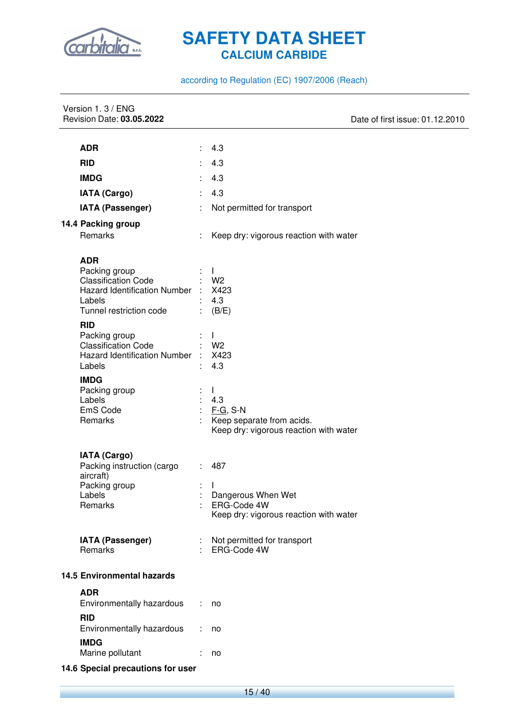

according to Regulation (EC) 1907/2006 (Reach)

| Version 1.3 / ENG<br>Revision Date: 03.05.2022               |    | Date of first issue: 01.12.2010                       |
|--------------------------------------------------------------|----|-------------------------------------------------------|
|                                                              |    |                                                       |
| <b>ADR</b>                                                   |    | 4.3                                                   |
| <b>RID</b>                                                   | ÷  | 4.3                                                   |
| <b>IMDG</b>                                                  |    | 4.3                                                   |
| <b>IATA (Cargo)</b>                                          | ÷  | 4.3                                                   |
| IATA (Passenger)                                             | ÷  | Not permitted for transport                           |
| 14.4 Packing group                                           |    |                                                       |
| Remarks                                                      |    | Keep dry: vigorous reaction with water                |
|                                                              |    |                                                       |
| <b>ADR</b><br>Packing group                                  |    | $\mathbf{I}$                                          |
| <b>Classification Code</b>                                   |    | W <sub>2</sub>                                        |
| Hazard Identification Number :                               |    | X423                                                  |
| Labels                                                       |    | 4.3                                                   |
| Tunnel restriction code                                      |    | (B/E)                                                 |
| <b>RID</b>                                                   |    |                                                       |
| Packing group                                                |    | $\mathbf{I}$                                          |
| <b>Classification Code</b><br>Hazard Identification Number : |    | W <sub>2</sub><br>X423                                |
| Labels                                                       |    | 4.3                                                   |
| <b>IMDG</b>                                                  |    |                                                       |
| Packing group                                                |    | $\mathbf{L}$                                          |
| Labels                                                       |    | 4.3                                                   |
| EmS Code                                                     | ÷  | $F-G$ , S-N                                           |
| Remarks                                                      |    | Keep separate from acids.                             |
|                                                              |    | Keep dry: vigorous reaction with water                |
| <b>IATA (Cargo)</b>                                          |    |                                                       |
| Packing instruction (cargo                                   | t. | 487                                                   |
| aircraft)                                                    |    |                                                       |
| Packing group                                                |    | $\mathbf{I}$                                          |
| Labels                                                       |    | Dangerous When Wet                                    |
| Remarks                                                      |    | ERG-Code 4W<br>Keep dry: vigorous reaction with water |
|                                                              |    |                                                       |
| <b>IATA (Passenger)</b>                                      |    | Not permitted for transport                           |
| Remarks                                                      |    | ERG-Code 4W                                           |
| <b>14.5 Environmental hazards</b>                            |    |                                                       |
| <b>ADR</b>                                                   |    |                                                       |
| Environmentally hazardous                                    |    | no                                                    |
| <b>RID</b>                                                   |    |                                                       |
| Environmentally hazardous                                    |    | no                                                    |
| <b>IMDG</b>                                                  |    |                                                       |
| Marine pollutant                                             |    | no                                                    |
| 14.6 Special precautions for user                            |    |                                                       |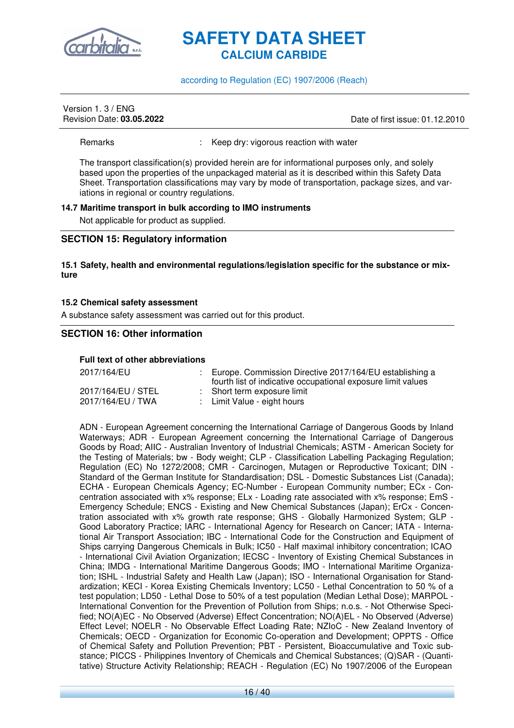

according to Regulation (EC) 1907/2006 (Reach)

## Version 1. 3 / ENG

Revision Date: **03.05.2022** Date of first issue: 01.12.2010

Remarks : Keep dry: vigorous reaction with water

The transport classification(s) provided herein are for informational purposes only, and solely based upon the properties of the unpackaged material as it is described within this Safety Data Sheet. Transportation classifications may vary by mode of transportation, package sizes, and variations in regional or country regulations.

#### **14.7 Maritime transport in bulk according to IMO instruments**

Not applicable for product as supplied.

#### **SECTION 15: Regulatory information**

#### **15.1 Safety, health and environmental regulations/legislation specific for the substance or mixture**

#### **15.2 Chemical safety assessment**

A substance safety assessment was carried out for this product.

#### **SECTION 16: Other information**

#### **Full text of other abbreviations**

| 2017/164/EU        | : Europe. Commission Directive 2017/164/EU establishing a<br>fourth list of indicative occupational exposure limit values |
|--------------------|---------------------------------------------------------------------------------------------------------------------------|
| 2017/164/EU / STEL | : Short term exposure limit                                                                                               |
| 2017/164/EU / TWA  | : Limit Value - eight hours                                                                                               |

ADN - European Agreement concerning the International Carriage of Dangerous Goods by Inland Waterways; ADR - European Agreement concerning the International Carriage of Dangerous Goods by Road; AIIC - Australian Inventory of Industrial Chemicals; ASTM - American Society for the Testing of Materials; bw - Body weight; CLP - Classification Labelling Packaging Regulation; Regulation (EC) No 1272/2008; CMR - Carcinogen, Mutagen or Reproductive Toxicant; DIN - Standard of the German Institute for Standardisation; DSL - Domestic Substances List (Canada); ECHA - European Chemicals Agency; EC-Number - European Community number; ECx - Concentration associated with x% response; ELx - Loading rate associated with x% response; EmS - Emergency Schedule; ENCS - Existing and New Chemical Substances (Japan); ErCx - Concentration associated with x% growth rate response; GHS - Globally Harmonized System; GLP - Good Laboratory Practice; IARC - International Agency for Research on Cancer; IATA - International Air Transport Association; IBC - International Code for the Construction and Equipment of Ships carrying Dangerous Chemicals in Bulk; IC50 - Half maximal inhibitory concentration; ICAO - International Civil Aviation Organization; IECSC - Inventory of Existing Chemical Substances in China; IMDG - International Maritime Dangerous Goods; IMO - International Maritime Organization; ISHL - Industrial Safety and Health Law (Japan); ISO - International Organisation for Standardization; KECI - Korea Existing Chemicals Inventory; LC50 - Lethal Concentration to 50 % of a test population; LD50 - Lethal Dose to 50% of a test population (Median Lethal Dose); MARPOL - International Convention for the Prevention of Pollution from Ships; n.o.s. - Not Otherwise Specified; NO(A)EC - No Observed (Adverse) Effect Concentration; NO(A)EL - No Observed (Adverse) Effect Level; NOELR - No Observable Effect Loading Rate; NZIoC - New Zealand Inventory of Chemicals; OECD - Organization for Economic Co-operation and Development; OPPTS - Office of Chemical Safety and Pollution Prevention; PBT - Persistent, Bioaccumulative and Toxic substance; PICCS - Philippines Inventory of Chemicals and Chemical Substances; (Q)SAR - (Quantitative) Structure Activity Relationship; REACH - Regulation (EC) No 1907/2006 of the European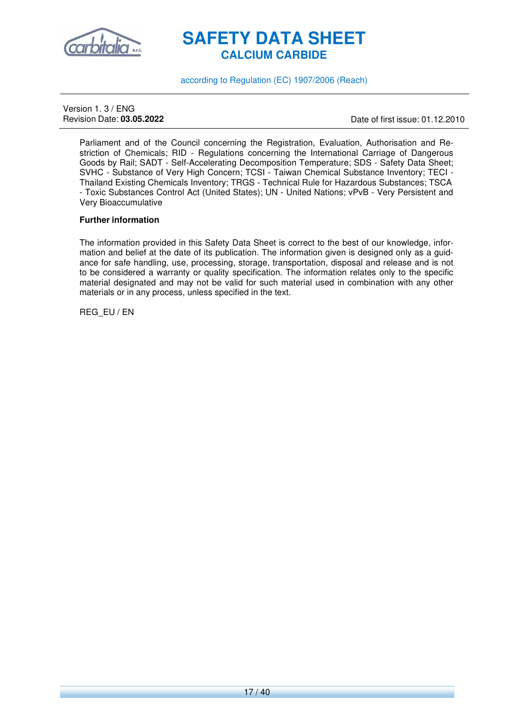

according to Regulation (EC) 1907/2006 (Reach)

Version 1. 3 / ENG

Revision Date: **03.05.2022** Date of first issue: 01.12.2010

Parliament and of the Council concerning the Registration, Evaluation, Authorisation and Restriction of Chemicals; RID - Regulations concerning the International Carriage of Dangerous Goods by Rail; SADT - Self-Accelerating Decomposition Temperature; SDS - Safety Data Sheet; SVHC - Substance of Very High Concern; TCSI - Taiwan Chemical Substance Inventory; TECI - Thailand Existing Chemicals Inventory; TRGS - Technical Rule for Hazardous Substances; TSCA - Toxic Substances Control Act (United States); UN - United Nations; vPvB - Very Persistent and Very Bioaccumulative

#### **Further information**

The information provided in this Safety Data Sheet is correct to the best of our knowledge, information and belief at the date of its publication. The information given is designed only as a guidance for safe handling, use, processing, storage, transportation, disposal and release and is not to be considered a warranty or quality specification. The information relates only to the specific material designated and may not be valid for such material used in combination with any other materials or in any process, unless specified in the text.

REG\_EU / EN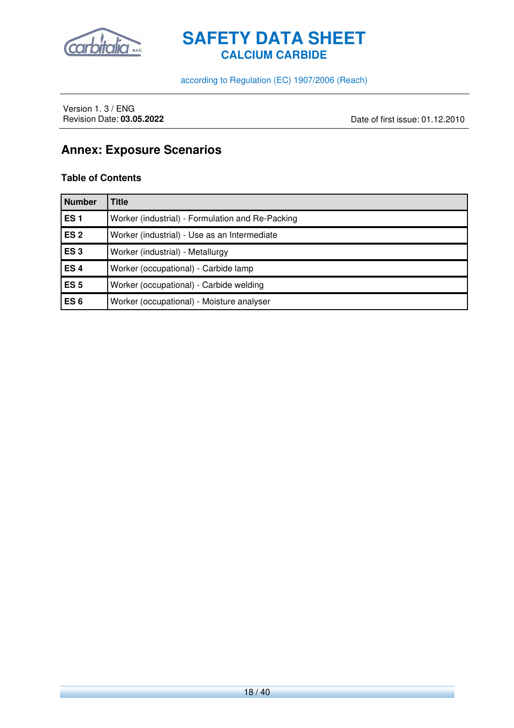

according to Regulation (EC) 1907/2006 (Reach)

Version 1. 3 / ENG<br>Revision Date: 03.05.2022

Date of first issue: 01.12.2010

### **Annex: Exposure Scenarios**

#### **Table of Contents**

| <b>Number</b>   | <b>Title</b>                                     |
|-----------------|--------------------------------------------------|
| ES <sub>1</sub> | Worker (industrial) - Formulation and Re-Packing |
| ES <sub>2</sub> | Worker (industrial) - Use as an Intermediate     |
| ES <sub>3</sub> | Worker (industrial) - Metallurgy                 |
| ES <sub>4</sub> | Worker (occupational) - Carbide lamp             |
| ES <sub>5</sub> | Worker (occupational) - Carbide welding          |
| ES <sub>6</sub> | Worker (occupational) - Moisture analyser        |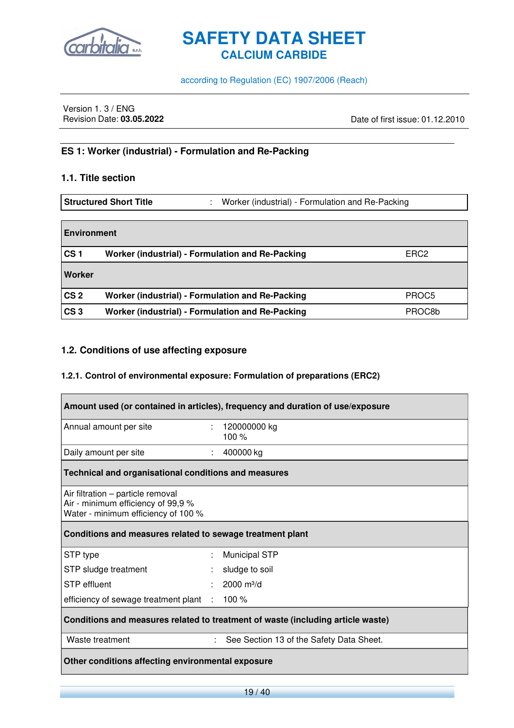

according to Regulation (EC) 1907/2006 (Reach)

Version 1. 3 / ENG<br>Revision Date: 03.05.2022

Revision Date: **03.05.2022** Date of first issue: 01.12.2010

#### **ES 1: Worker (industrial) - Formulation and Re-Packing**

#### **1.1. Title section**

**Structured Short Title** : Worker (industrial) - Formulation and Re-Packing

| <b>Environment</b> |                                                  |                  |
|--------------------|--------------------------------------------------|------------------|
| CS <sub>1</sub>    | Worker (industrial) - Formulation and Re-Packing | ERC <sub>2</sub> |
| Worker             |                                                  |                  |
| CS <sub>2</sub>    | Worker (industrial) - Formulation and Re-Packing | PROC5            |
| CS <sub>3</sub>    | Worker (industrial) - Formulation and Re-Packing | PROC8b           |

#### **1.2. Conditions of use affecting exposure**

#### **1.2.1. Control of environmental exposure: Formulation of preparations (ERC2)**

| Amount used (or contained in articles), frequency and duration of use/exposure                                 |                           |                                          |  |
|----------------------------------------------------------------------------------------------------------------|---------------------------|------------------------------------------|--|
| Annual amount per site                                                                                         | $\mathbb{Z}^{\mathbb{Z}}$ | 120000000 kg<br>100 $%$                  |  |
| Daily amount per site                                                                                          | $\mathbb{Z}^n$ .          | 400000 kg                                |  |
| Technical and organisational conditions and measures                                                           |                           |                                          |  |
| Air filtration – particle removal<br>Air - minimum efficiency of 99,9 %<br>Water - minimum efficiency of 100 % |                           |                                          |  |
| Conditions and measures related to sewage treatment plant                                                      |                           |                                          |  |
| STP type                                                                                                       | ÷                         | <b>Municipal STP</b>                     |  |
| STP sludge treatment                                                                                           | ÷                         | sludge to soil                           |  |
| <b>STP</b> effluent                                                                                            |                           | 2000 $m^3/d$                             |  |
| efficiency of sewage treatment plant : 100 %                                                                   |                           |                                          |  |
| Conditions and measures related to treatment of waste (including article waste)                                |                           |                                          |  |
| Waste treatment                                                                                                | ÷.                        | See Section 13 of the Safety Data Sheet. |  |
| Other conditions affecting environmental exposure                                                              |                           |                                          |  |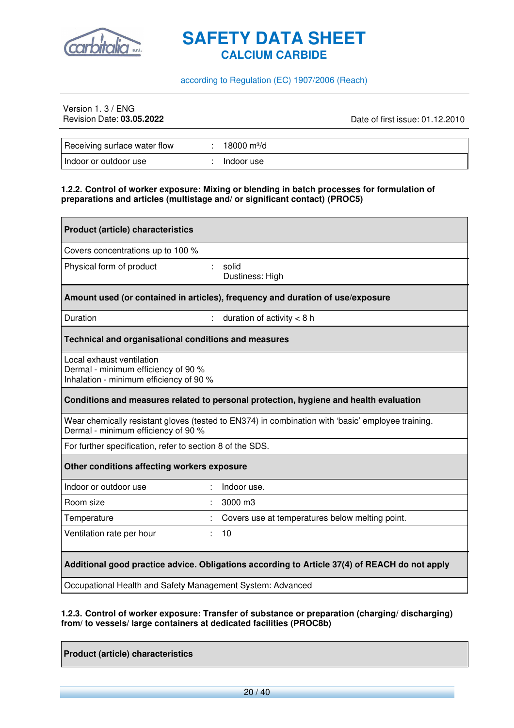

#### according to Regulation (EC) 1907/2006 (Reach)

## Version 1. 3 / ENG<br>Revision Date: 03.05.2022

Revision Date: **03.05.2022** Date of first issue: 01.12.2010

| Receiving surface water flow | 18000 m <sup>3</sup> /d |  |
|------------------------------|-------------------------|--|
| Indoor or outdoor use        | Indoor use              |  |

#### **1.2.2. Control of worker exposure: Mixing or blending in batch processes for formulation of preparations and articles (multistage and/ or significant contact) (PROC5)**

| <b>Product (article) characteristics</b>                                                                                                 |                                                                                |  |  |  |
|------------------------------------------------------------------------------------------------------------------------------------------|--------------------------------------------------------------------------------|--|--|--|
| Covers concentrations up to 100 %                                                                                                        |                                                                                |  |  |  |
| Physical form of product                                                                                                                 | solid<br>Dustiness: High                                                       |  |  |  |
|                                                                                                                                          | Amount used (or contained in articles), frequency and duration of use/exposure |  |  |  |
| Duration                                                                                                                                 | duration of activity $<$ 8 h                                                   |  |  |  |
| Technical and organisational conditions and measures                                                                                     |                                                                                |  |  |  |
| Local exhaust ventilation<br>Dermal - minimum efficiency of 90 %<br>Inhalation - minimum efficiency of 90 %                              |                                                                                |  |  |  |
| Conditions and measures related to personal protection, hygiene and health evaluation                                                    |                                                                                |  |  |  |
| Wear chemically resistant gloves (tested to EN374) in combination with 'basic' employee training.<br>Dermal - minimum efficiency of 90 % |                                                                                |  |  |  |
|                                                                                                                                          | For further specification, refer to section 8 of the SDS.                      |  |  |  |
| Other conditions affecting workers exposure                                                                                              |                                                                                |  |  |  |
| Indoor or outdoor use                                                                                                                    | Indoor use.                                                                    |  |  |  |
| Room size                                                                                                                                | 3000 m3                                                                        |  |  |  |
| Temperature                                                                                                                              | Covers use at temperatures below melting point.                                |  |  |  |
| Ventilation rate per hour                                                                                                                | 10                                                                             |  |  |  |
| Additional good practice advice. Obligations according to Article 37(4) of REACH do not apply                                            |                                                                                |  |  |  |
| Occupational Health and Safety Management System: Advanced                                                                               |                                                                                |  |  |  |

#### **1.2.3. Control of worker exposure: Transfer of substance or preparation (charging/ discharging) from/ to vessels/ large containers at dedicated facilities (PROC8b)**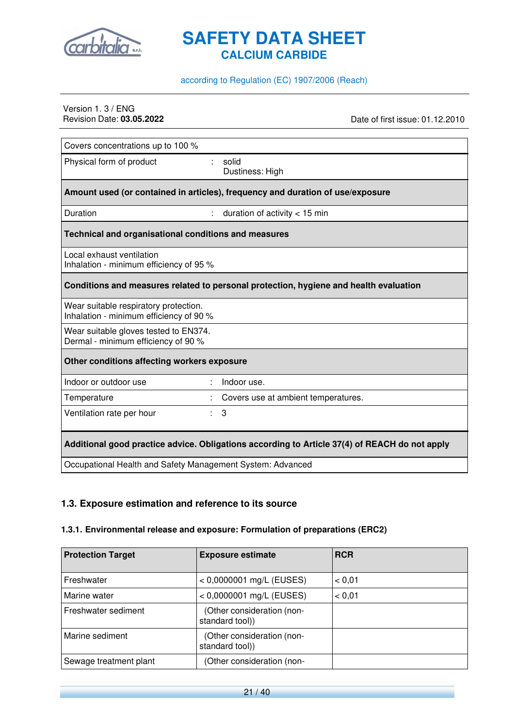

#### according to Regulation (EC) 1907/2006 (Reach)

## Version 1. 3 / ENG<br>Revision Date: 03.05.2022

Date of first issue: 01.12.2010

| Covers concentrations up to 100 %                                                             |                                                                                       |  |  |  |
|-----------------------------------------------------------------------------------------------|---------------------------------------------------------------------------------------|--|--|--|
| Physical form of product                                                                      | ÷.<br>solid<br>Dustiness: High                                                        |  |  |  |
|                                                                                               | Amount used (or contained in articles), frequency and duration of use/exposure        |  |  |  |
| Duration                                                                                      | duration of activity $<$ 15 min                                                       |  |  |  |
| Technical and organisational conditions and measures                                          |                                                                                       |  |  |  |
| Local exhaust ventilation<br>Inhalation - minimum efficiency of 95 %                          |                                                                                       |  |  |  |
|                                                                                               | Conditions and measures related to personal protection, hygiene and health evaluation |  |  |  |
| Wear suitable respiratory protection.<br>Inhalation - minimum efficiency of 90 %              |                                                                                       |  |  |  |
| Wear suitable gloves tested to EN374.<br>Dermal - minimum efficiency of 90 %                  |                                                                                       |  |  |  |
| Other conditions affecting workers exposure                                                   |                                                                                       |  |  |  |
| Indoor or outdoor use                                                                         | Indoor use.                                                                           |  |  |  |
| Temperature                                                                                   | Covers use at ambient temperatures.                                                   |  |  |  |
| Ventilation rate per hour<br>÷.                                                               | 3                                                                                     |  |  |  |
| Additional good practice advice. Obligations according to Article 37(4) of REACH do not apply |                                                                                       |  |  |  |
| Occupational Health and Safety Management System: Advanced                                    |                                                                                       |  |  |  |

#### **1.3. Exposure estimation and reference to its source**

#### **1.3.1. Environmental release and exposure: Formulation of preparations (ERC2)**

| <b>Protection Target</b> | <b>Exposure estimate</b>                      | <b>RCR</b> |
|--------------------------|-----------------------------------------------|------------|
| Freshwater               | $< 0,0000001$ mg/L (EUSES)                    | < 0.01     |
| Marine water             | $< 0,0000001$ mg/L (EUSES)                    | < 0.01     |
| Freshwater sediment      | (Other consideration (non-<br>standard tool)) |            |
| Marine sediment          | (Other consideration (non-<br>standard tool)) |            |
| Sewage treatment plant   | (Other consideration (non-                    |            |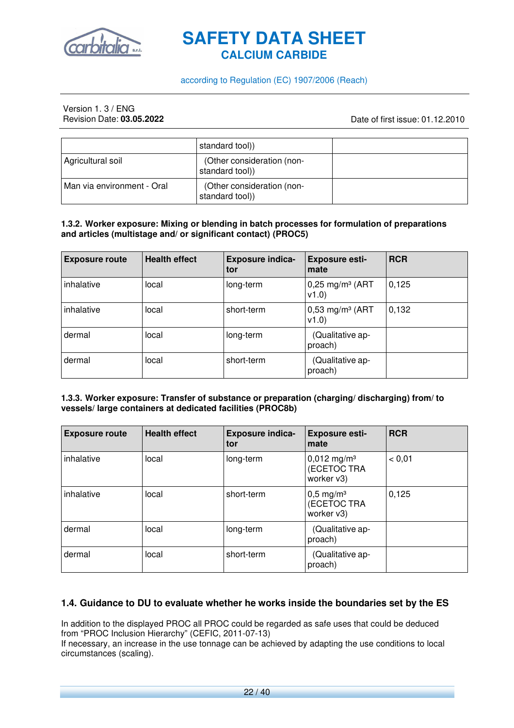

#### according to Regulation (EC) 1907/2006 (Reach)

## Version 1. 3 / ENG<br>Revision Date: **03.05.2022**

Revision Date: **03.05.2022** Date of first issue: 01.12.2010

|                            | standard tool)                                |  |
|----------------------------|-----------------------------------------------|--|
| Agricultural soil          | (Other consideration (non-<br>standard tool)) |  |
| Man via environment - Oral | (Other consideration (non-<br>standard tool)) |  |

#### **1.3.2. Worker exposure: Mixing or blending in batch processes for formulation of preparations and articles (multistage and/ or significant contact) (PROC5)**

| <b>Exposure route</b> | <b>Health effect</b> | <b>Exposure indica-</b><br>tor | <b>Exposure esti-</b><br>mate          | <b>RCR</b> |
|-----------------------|----------------------|--------------------------------|----------------------------------------|------------|
| inhalative            | local                | long-term                      | $0,25$ mg/m <sup>3</sup> (ART<br>V1.0) | 0,125      |
| inhalative            | local                | short-term                     | $0,53$ mg/m <sup>3</sup> (ART<br>v1.0  | 0,132      |
| dermal                | local                | long-term                      | (Qualitative ap-<br>proach)            |            |
| dermal                | local                | short-term                     | (Qualitative ap-<br>proach)            |            |

#### **1.3.3. Worker exposure: Transfer of substance or preparation (charging/ discharging) from/ to vessels/ large containers at dedicated facilities (PROC8b)**

| <b>Exposure route</b> | <b>Health effect</b> | <b>Exposure indica-</b><br>tor | <b>Exposure esti-</b><br>mate                          | <b>RCR</b> |
|-----------------------|----------------------|--------------------------------|--------------------------------------------------------|------------|
| inhalative            | local                | long-term                      | $0,012$ mg/m <sup>3</sup><br>(ECETOC TRA<br>worker v3) | < 0.01     |
| inhalative            | local                | short-term                     | $0,5 \text{ mg/m}^3$<br>(ECETOC TRA<br>worker v3)      | 0,125      |
| dermal                | local                | long-term                      | (Qualitative ap-<br>proach)                            |            |
| dermal                | local                | short-term                     | (Qualitative ap-<br>proach)                            |            |

#### **1.4. Guidance to DU to evaluate whether he works inside the boundaries set by the ES**

In addition to the displayed PROC all PROC could be regarded as safe uses that could be deduced from "PROC Inclusion Hierarchy" (CEFIC, 2011-07-13)

If necessary, an increase in the use tonnage can be achieved by adapting the use conditions to local circumstances (scaling).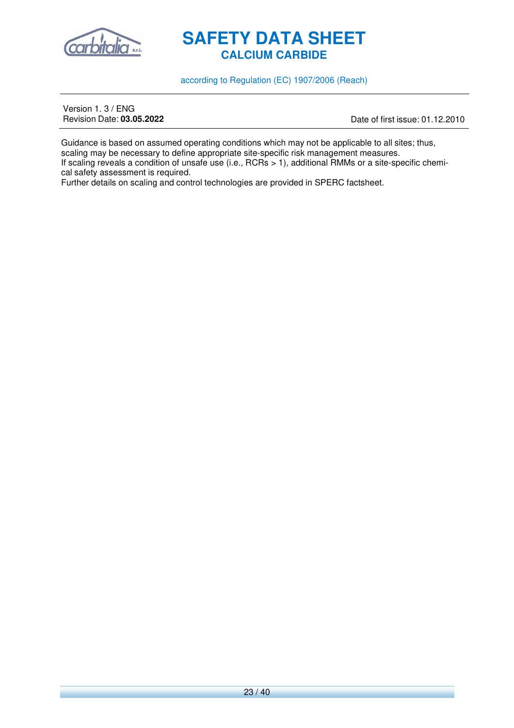

according to Regulation (EC) 1907/2006 (Reach)

Version 1. 3 / ENG<br>Revision Date: **03.05.2022** 

Revision Date: **03.05.2022** Date of first issue: 01.12.2010

Guidance is based on assumed operating conditions which may not be applicable to all sites; thus, scaling may be necessary to define appropriate site-specific risk management measures. If scaling reveals a condition of unsafe use (i.e., RCRs > 1), additional RMMs or a site-specific chemical safety assessment is required.

Further details on scaling and control technologies are provided in SPERC factsheet.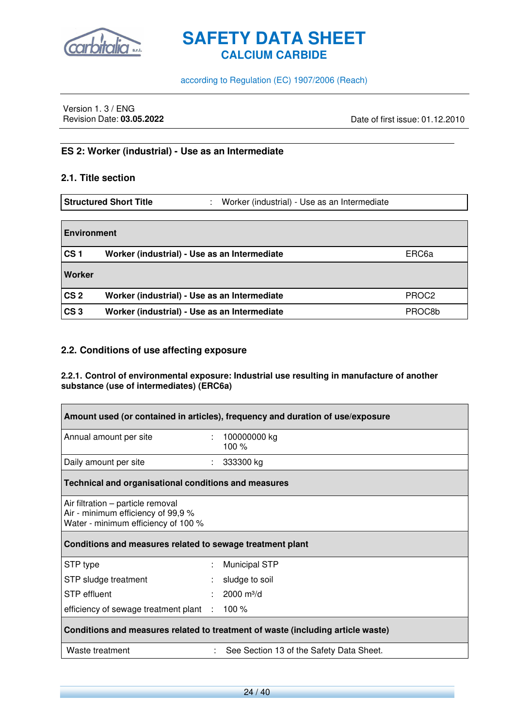

according to Regulation (EC) 1907/2006 (Reach)

Version 1. 3 / ENG<br>Revision Date: 03.05.2022

Revision Date: **03.05.2022** Date of first issue: 01.12.2010

#### **ES 2: Worker (industrial) - Use as an Intermediate**

#### **2.1. Title section**

 $\blacksquare$ 

**Structured Short Title** : Worker (industrial) - Use as an Intermediate

| <b>Environment</b> |                                              |                   |
|--------------------|----------------------------------------------|-------------------|
| CS <sub>1</sub>    | Worker (industrial) - Use as an Intermediate | ERC6a             |
| Worker             |                                              |                   |
| CS <sub>2</sub>    | Worker (industrial) - Use as an Intermediate | PROC <sub>2</sub> |
| CS <sub>3</sub>    | Worker (industrial) - Use as an Intermediate | PROC8b            |

#### **2.2. Conditions of use affecting exposure**

**2.2.1. Control of environmental exposure: Industrial use resulting in manufacture of another substance (use of intermediates) (ERC6a)** 

| Amount used (or contained in articles), frequency and duration of use/exposure                                 |                                                             |                                          |  |  |
|----------------------------------------------------------------------------------------------------------------|-------------------------------------------------------------|------------------------------------------|--|--|
| Annual amount per site                                                                                         |                                                             | $: 100000000$ kg<br>100 %                |  |  |
| Daily amount per site                                                                                          |                                                             | 333300 kg                                |  |  |
|                                                                                                                | <b>Technical and organisational conditions and measures</b> |                                          |  |  |
| Air filtration – particle removal<br>Air - minimum efficiency of 99,9 %<br>Water - minimum efficiency of 100 % |                                                             |                                          |  |  |
| Conditions and measures related to sewage treatment plant                                                      |                                                             |                                          |  |  |
| STP type                                                                                                       | ÷                                                           | <b>Municipal STP</b>                     |  |  |
| STP sludge treatment                                                                                           | ÷                                                           | sludge to soil                           |  |  |
| <b>STP</b> effluent                                                                                            |                                                             | $2000 \text{ m}^3/\text{d}$              |  |  |
| efficiency of sewage treatment plant : 100 %                                                                   |                                                             |                                          |  |  |
| Conditions and measures related to treatment of waste (including article waste)                                |                                                             |                                          |  |  |
| Waste treatment                                                                                                |                                                             | See Section 13 of the Safety Data Sheet. |  |  |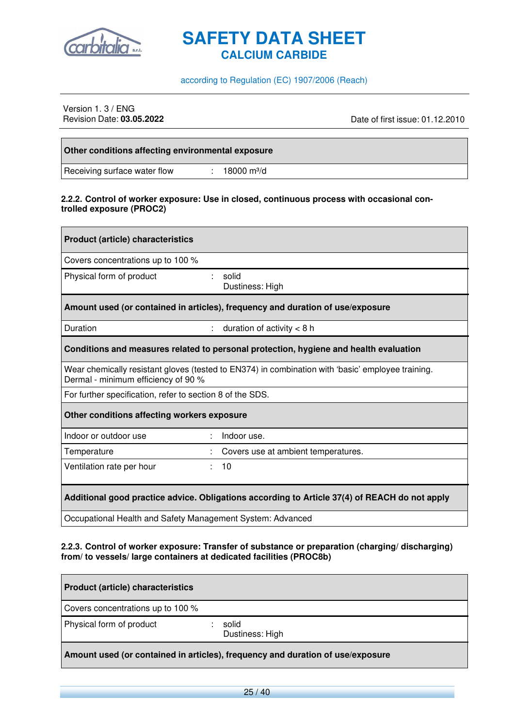

according to Regulation (EC) 1907/2006 (Reach)

## Version 1. 3 / ENG<br>Revision Date: 03.05.2022

Revision Date: **03.05.2022** Date of first issue: 01.12.2010

| Other conditions affecting environmental exposure |                         |
|---------------------------------------------------|-------------------------|
| Receiving surface water flow                      | 18000 m <sup>3</sup> /d |

#### **2.2.2. Control of worker exposure: Use in closed, continuous process with occasional controlled exposure (PROC2)**

| <b>Product (article) characteristics</b>                                                                                                 |                                                                                       |  |
|------------------------------------------------------------------------------------------------------------------------------------------|---------------------------------------------------------------------------------------|--|
| Covers concentrations up to 100 %                                                                                                        |                                                                                       |  |
| Physical form of product                                                                                                                 | $\mathbb{R}^n$<br>solid<br>Dustiness: High                                            |  |
|                                                                                                                                          | Amount used (or contained in articles), frequency and duration of use/exposure        |  |
| Duration                                                                                                                                 | : duration of activity $<$ 8 h                                                        |  |
|                                                                                                                                          | Conditions and measures related to personal protection, hygiene and health evaluation |  |
| Wear chemically resistant gloves (tested to EN374) in combination with 'basic' employee training.<br>Dermal - minimum efficiency of 90 % |                                                                                       |  |
| For further specification, refer to section 8 of the SDS.                                                                                |                                                                                       |  |
| Other conditions affecting workers exposure                                                                                              |                                                                                       |  |
| Indoor or outdoor use                                                                                                                    | Indoor use.                                                                           |  |
| Temperature                                                                                                                              | Covers use at ambient temperatures.                                                   |  |
| Ventilation rate per hour                                                                                                                | : 10                                                                                  |  |
| Additional good practice advice. Obligations according to Article 37(4) of REACH do not apply                                            |                                                                                       |  |
| Occupational Health and Safety Management System: Advanced                                                                               |                                                                                       |  |

#### **2.2.3. Control of worker exposure: Transfer of substance or preparation (charging/ discharging) from/ to vessels/ large containers at dedicated facilities (PROC8b)**

| <b>Product (article) characteristics</b>                                       |                          |  |
|--------------------------------------------------------------------------------|--------------------------|--|
| Covers concentrations up to 100 %                                              |                          |  |
| Physical form of product                                                       | solid<br>Dustiness: High |  |
| Amount used (or contained in articles), frequency and duration of use/exposure |                          |  |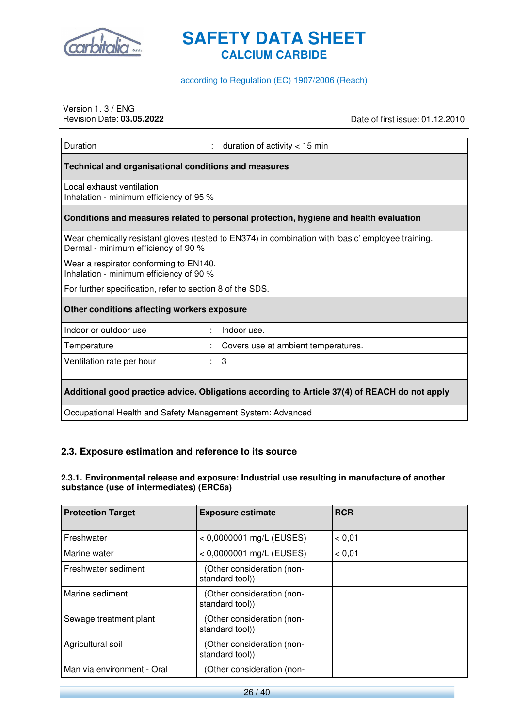

#### according to Regulation (EC) 1907/2006 (Reach)

## Version 1. 3 / ENG<br>Revision Date: 03.05.2022

Revision Date: **03.05.2022** Date of first issue: 01.12.2010

| Duration                                                                          | duration of activity $<$ 15 min                                                                   |  |
|-----------------------------------------------------------------------------------|---------------------------------------------------------------------------------------------------|--|
| Technical and organisational conditions and measures                              |                                                                                                   |  |
| Local exhaust ventilation<br>Inhalation - minimum efficiency of 95 %              |                                                                                                   |  |
|                                                                                   | Conditions and measures related to personal protection, hygiene and health evaluation             |  |
| Dermal - minimum efficiency of 90 %                                               | Wear chemically resistant gloves (tested to EN374) in combination with 'basic' employee training. |  |
| Wear a respirator conforming to EN140.<br>Inhalation - minimum efficiency of 90 % |                                                                                                   |  |
| For further specification, refer to section 8 of the SDS.                         |                                                                                                   |  |
| Other conditions affecting workers exposure                                       |                                                                                                   |  |
| Indoor or outdoor use                                                             | Indoor use.                                                                                       |  |
| Temperature                                                                       | Covers use at ambient temperatures.                                                               |  |
| Ventilation rate per hour                                                         | 3<br>÷.                                                                                           |  |
|                                                                                   | Additional good practice advice. Obligations according to Article 37(4) of REACH do not apply     |  |
|                                                                                   | Occupational Health and Safety Management System: Advanced                                        |  |

#### **2.3. Exposure estimation and reference to its source**

#### **2.3.1. Environmental release and exposure: Industrial use resulting in manufacture of another substance (use of intermediates) (ERC6a)**

| <b>Protection Target</b>   | <b>Exposure estimate</b>                      | <b>RCR</b> |
|----------------------------|-----------------------------------------------|------------|
| Freshwater                 | $< 0,0000001$ mg/L (EUSES)                    | < 0.01     |
| Marine water               | $< 0,0000001$ mg/L (EUSES)                    | < 0.01     |
| Freshwater sediment        | (Other consideration (non-<br>standard tool)) |            |
| Marine sediment            | (Other consideration (non-<br>standard tool)) |            |
| Sewage treatment plant     | (Other consideration (non-<br>standard tool)) |            |
| Agricultural soil          | (Other consideration (non-<br>standard tool)) |            |
| Man via environment - Oral | (Other consideration (non-                    |            |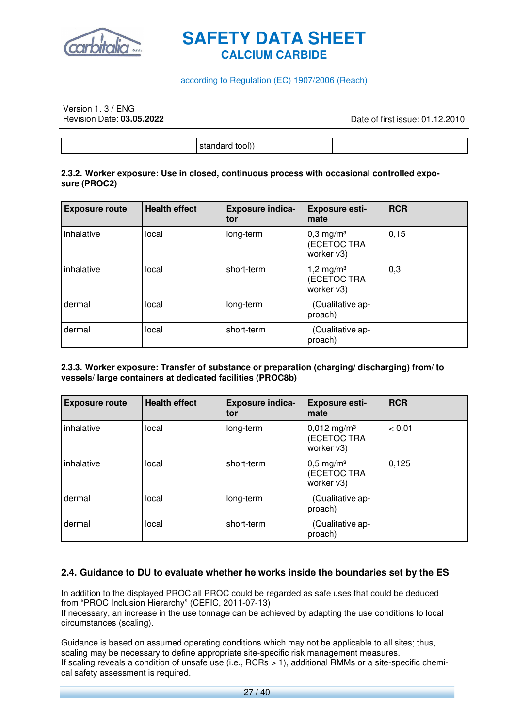

#### according to Regulation (EC) 1907/2006 (Reach)

## Version 1. 3 / ENG<br>Revision Date: **03.05.2022**

Revision Date: **03.05.2022** Date of first issue: 01.12.2010

standard tool))

#### **2.3.2. Worker exposure: Use in closed, continuous process with occasional controlled exposure (PROC2)**

| <b>Exposure route</b> | <b>Health effect</b> | <b>Exposure indica-</b><br>tor | <b>Exposure esti-</b><br>mate                        | <b>RCR</b> |
|-----------------------|----------------------|--------------------------------|------------------------------------------------------|------------|
| inhalative            | local                | long-term                      | $0,3$ mg/m <sup>3</sup><br>(ECETOC TRA<br>worker v3) | 0,15       |
| inhalative            | local                | short-term                     | 1,2 mg/m <sup>3</sup><br>(ECETOC TRA<br>worker v3)   | 0,3        |
| dermal                | local                | long-term                      | (Qualitative ap-<br>proach)                          |            |
| dermal                | local                | short-term                     | (Qualitative ap-<br>proach)                          |            |

#### **2.3.3. Worker exposure: Transfer of substance or preparation (charging/ discharging) from/ to vessels/ large containers at dedicated facilities (PROC8b)**

| <b>Exposure route</b> | <b>Health effect</b> | <b>Exposure indica-</b><br>tor | <b>Exposure esti-</b><br>mate                          | <b>RCR</b> |
|-----------------------|----------------------|--------------------------------|--------------------------------------------------------|------------|
| inhalative            | local                | long-term                      | $0,012$ mg/m <sup>3</sup><br>(ECETOC TRA<br>worker v3) | < 0.01     |
| inhalative            | local                | short-term                     | $0,5 \text{ mg/m}^3$<br>(ECETOC TRA<br>worker v3)      | 0,125      |
| dermal                | local                | long-term                      | (Qualitative ap-<br>proach)                            |            |
| dermal                | local                | short-term                     | (Qualitative ap-<br>proach)                            |            |

#### **2.4. Guidance to DU to evaluate whether he works inside the boundaries set by the ES**

In addition to the displayed PROC all PROC could be regarded as safe uses that could be deduced from "PROC Inclusion Hierarchy" (CEFIC, 2011-07-13) If necessary, an increase in the use tonnage can be achieved by adapting the use conditions to local circumstances (scaling).

Guidance is based on assumed operating conditions which may not be applicable to all sites; thus, scaling may be necessary to define appropriate site-specific risk management measures. If scaling reveals a condition of unsafe use (i.e., RCRs > 1), additional RMMs or a site-specific chemical safety assessment is required.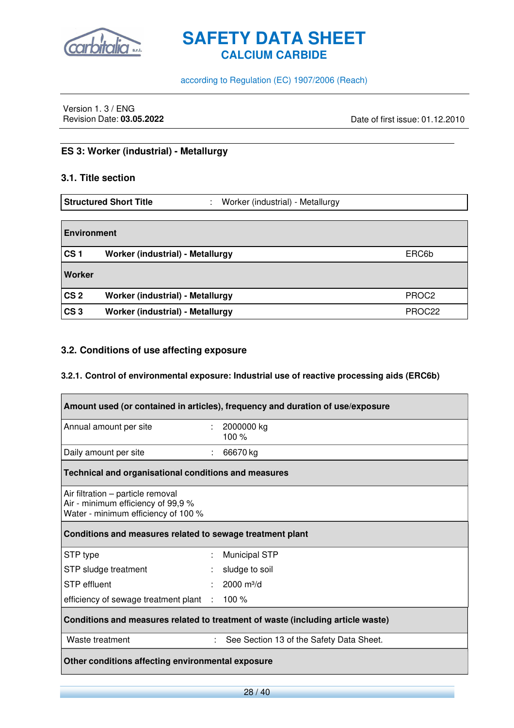

according to Regulation (EC) 1907/2006 (Reach)

Version 1. 3 / ENG<br>Revision Date: 03.05.2022

Date of first issue: 01.12.2010

#### **ES 3: Worker (industrial) - Metallurgy**

#### **3.1. Title section**

|                    | <b>Structured Short Title</b><br>Worker (industrial) - Metallurgy<br>÷ |                   |
|--------------------|------------------------------------------------------------------------|-------------------|
| <b>Environment</b> |                                                                        |                   |
|                    |                                                                        |                   |
| CS <sub>1</sub>    | Worker (industrial) - Metallurgy                                       | ERC6b             |
| <b>Worker</b>      |                                                                        |                   |
| CS <sub>2</sub>    | Worker (industrial) - Metallurgy                                       | PROC <sub>2</sub> |
| CS <sub>3</sub>    | Worker (industrial) - Metallurgy                                       | PROC22            |

#### **3.2. Conditions of use affecting exposure**

#### **3.2.1. Control of environmental exposure: Industrial use of reactive processing aids (ERC6b)**

| Amount used (or contained in articles), frequency and duration of use/exposure                                 |    |                                          |
|----------------------------------------------------------------------------------------------------------------|----|------------------------------------------|
| Annual amount per site                                                                                         | t. | 2000000 kg<br>100 $%$                    |
| Daily amount per site                                                                                          |    | 66670 kg                                 |
| Technical and organisational conditions and measures                                                           |    |                                          |
| Air filtration – particle removal<br>Air - minimum efficiency of 99,9 %<br>Water - minimum efficiency of 100 % |    |                                          |
| Conditions and measures related to sewage treatment plant                                                      |    |                                          |
| STP type                                                                                                       | ÷  | <b>Municipal STP</b>                     |
| STP sludge treatment                                                                                           |    | sludge to soil                           |
| <b>STP</b> effluent                                                                                            |    | $2000 \text{ m}^3/\text{d}$              |
| efficiency of sewage treatment plant : 100 %                                                                   |    |                                          |
| Conditions and measures related to treatment of waste (including article waste)                                |    |                                          |
| Waste treatment                                                                                                | ÷  | See Section 13 of the Safety Data Sheet. |
| Other conditions affecting environmental exposure                                                              |    |                                          |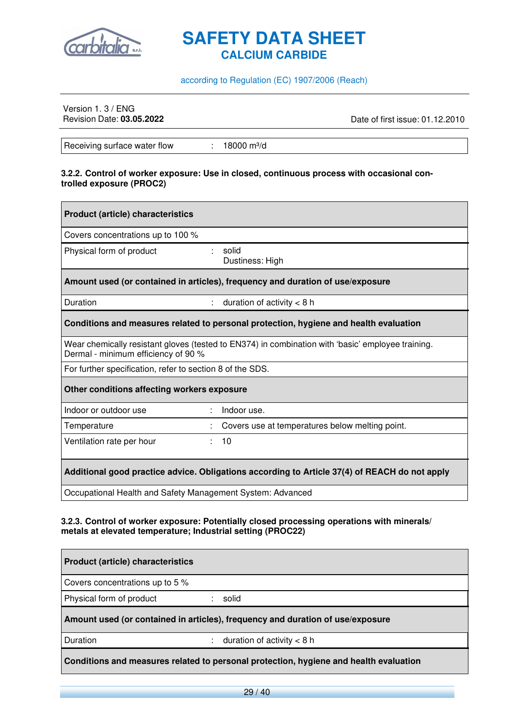

#### according to Regulation (EC) 1907/2006 (Reach)

## Version 1. 3 / ENG<br>Revision Date: 03.05.2022

Revision Date: **03.05.2022** Date of first issue: 01.12.2010

Receiving surface water flow : 18000 m<sup>3</sup>/d

#### **3.2.2. Control of worker exposure: Use in closed, continuous process with occasional controlled exposure (PROC2)**

| <b>Product (article) characteristics</b>                   |                                                                                                   |  |
|------------------------------------------------------------|---------------------------------------------------------------------------------------------------|--|
| Covers concentrations up to 100 %                          |                                                                                                   |  |
| Physical form of product                                   | solid<br>Dustiness: High                                                                          |  |
|                                                            | Amount used (or contained in articles), frequency and duration of use/exposure                    |  |
| Duration<br>$\mathbb{R}^n$                                 | duration of activity $<$ 8 h                                                                      |  |
|                                                            | Conditions and measures related to personal protection, hygiene and health evaluation             |  |
| Dermal - minimum efficiency of 90 %                        | Wear chemically resistant gloves (tested to EN374) in combination with 'basic' employee training. |  |
| For further specification, refer to section 8 of the SDS.  |                                                                                                   |  |
| Other conditions affecting workers exposure                |                                                                                                   |  |
| Indoor or outdoor use                                      | Indoor use.                                                                                       |  |
| Temperature                                                | Covers use at temperatures below melting point.                                                   |  |
| Ventilation rate per hour                                  | : 10                                                                                              |  |
|                                                            | Additional good practice advice. Obligations according to Article 37(4) of REACH do not apply     |  |
| Occupational Health and Safety Management System: Advanced |                                                                                                   |  |

#### **3.2.3. Control of worker exposure: Potentially closed processing operations with minerals/ metals at elevated temperature; Industrial setting (PROC22)**

| <b>Product (article) characteristics</b>                                              |                                                                                |  |
|---------------------------------------------------------------------------------------|--------------------------------------------------------------------------------|--|
| Covers concentrations up to 5 %                                                       |                                                                                |  |
| Physical form of product                                                              | : solid                                                                        |  |
|                                                                                       | Amount used (or contained in articles), frequency and duration of use/exposure |  |
| <b>Duration</b>                                                                       | : duration of activity $<$ 8 h                                                 |  |
| Conditions and measures related to personal protection, hygiene and health evaluation |                                                                                |  |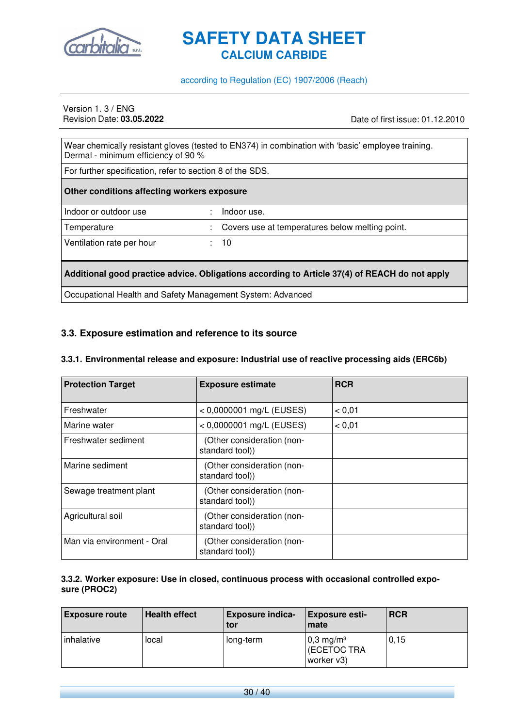

#### according to Regulation (EC) 1907/2006 (Reach)

## Version 1. 3 / ENG<br>Revision Date: 03.05.2022

Revision Date: **03.05.2022** Date of first issue: 01.12.2010

| Wear chemically resistant gloves (tested to EN374) in combination with 'basic' employee training.<br>Dermal - minimum efficiency of 90 % |  |                                                   |
|------------------------------------------------------------------------------------------------------------------------------------------|--|---------------------------------------------------|
| For further specification, refer to section 8 of the SDS.                                                                                |  |                                                   |
| Other conditions affecting workers exposure                                                                                              |  |                                                   |
| Indoor or outdoor use                                                                                                                    |  | Indoor use.                                       |
| Temperature                                                                                                                              |  | : Covers use at temperatures below melting point. |
| Ventilation rate per hour                                                                                                                |  | : 10                                              |
| Additional good practice advice. Obligations according to Article 37(4) of REACH do not apply                                            |  |                                                   |

Occupational Health and Safety Management System: Advanced

#### **3.3. Exposure estimation and reference to its source**

#### **3.3.1. Environmental release and exposure: Industrial use of reactive processing aids (ERC6b)**

| <b>Protection Target</b>   | <b>Exposure estimate</b>                      | <b>RCR</b> |
|----------------------------|-----------------------------------------------|------------|
| Freshwater                 | $< 0,0000001$ mg/L (EUSES)                    | < 0.01     |
| Marine water               | $< 0,0000001$ mg/L (EUSES)                    | < 0.01     |
| Freshwater sediment        | (Other consideration (non-<br>standard tool)) |            |
| Marine sediment            | (Other consideration (non-<br>standard tool)) |            |
| Sewage treatment plant     | (Other consideration (non-<br>standard tool)) |            |
| Agricultural soil          | (Other consideration (non-<br>standard tool)) |            |
| Man via environment - Oral | (Other consideration (non-<br>standard tool)) |            |

#### **3.3.2. Worker exposure: Use in closed, continuous process with occasional controlled exposure (PROC2)**

| <b>Exposure route</b> | <b>Health effect</b> | <b>Exposure indica-</b><br>tor | <b>Exposure esti-</b><br>mate                        | <b>RCR</b> |
|-----------------------|----------------------|--------------------------------|------------------------------------------------------|------------|
| inhalative            | local                | long-term                      | $0.3$ mg/m <sup>3</sup><br>(ECETOC TRA<br>worker v3) | 0.15       |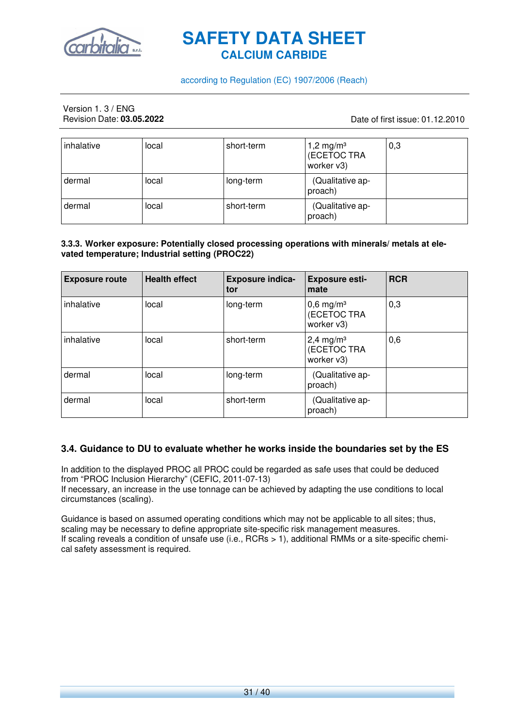

#### according to Regulation (EC) 1907/2006 (Reach)

## Version 1. 3 / ENG<br>Revision Date: **03.05.2022**

#### Revision Date: **03.05.2022** Date of first issue: 01.12.2010

| inhalative | local | short-term | 1,2 mg/m <sup>3</sup><br>(ECETOC TRA<br>worker v3) | 0,3 |
|------------|-------|------------|----------------------------------------------------|-----|
| dermal     | local | long-term  | (Qualitative ap-<br>proach)                        |     |
| dermal     | local | short-term | (Qualitative ap-<br>proach)                        |     |

#### **3.3.3. Worker exposure: Potentially closed processing operations with minerals/ metals at elevated temperature; Industrial setting (PROC22)**

| <b>Exposure route</b> | <b>Health effect</b> | <b>Exposure indica-</b><br>tor | <b>Exposure esti-</b><br>mate                        | <b>RCR</b> |
|-----------------------|----------------------|--------------------------------|------------------------------------------------------|------------|
| inhalative            | local                | long-term                      | $0,6$ mg/m <sup>3</sup><br>(ECETOC TRA<br>worker v3) | 0,3        |
| inhalative            | local                | short-term                     | $2,4$ mg/m <sup>3</sup><br>(ECETOC TRA<br>worker v3) | 0,6        |
| dermal                | local                | long-term                      | (Qualitative ap-<br>proach)                          |            |
| dermal                | local                | short-term                     | (Qualitative ap-<br>proach)                          |            |

#### **3.4. Guidance to DU to evaluate whether he works inside the boundaries set by the ES**

In addition to the displayed PROC all PROC could be regarded as safe uses that could be deduced from "PROC Inclusion Hierarchy" (CEFIC, 2011-07-13) If necessary, an increase in the use tonnage can be achieved by adapting the use conditions to local circumstances (scaling).

Guidance is based on assumed operating conditions which may not be applicable to all sites; thus, scaling may be necessary to define appropriate site-specific risk management measures. If scaling reveals a condition of unsafe use (i.e., RCRs > 1), additional RMMs or a site-specific chemical safety assessment is required.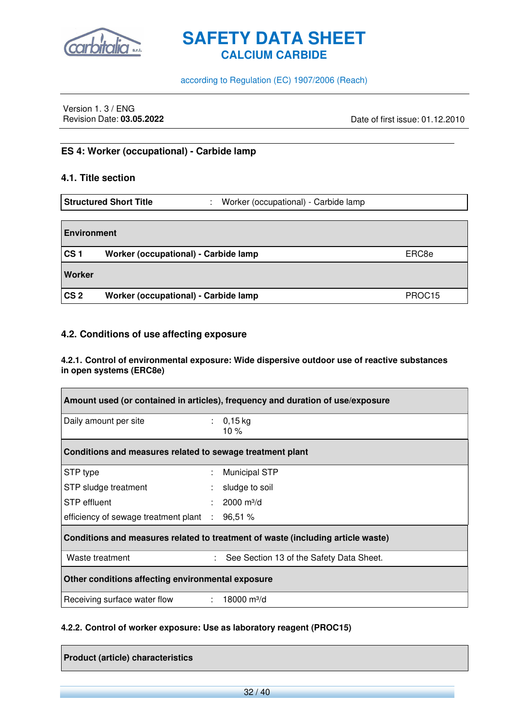

according to Regulation (EC) 1907/2006 (Reach)

Version 1. 3 / ENG<br>Revision Date: 03.05.2022

Revision Date: **03.05.2022** Date of first issue: 01.12.2010

#### **ES 4: Worker (occupational) - Carbide lamp**

#### **4.1. Title section**

|                    | <b>Structured Short Title</b><br>÷            | Worker (occupational) - Carbide lamp |
|--------------------|-----------------------------------------------|--------------------------------------|
|                    |                                               |                                      |
| <b>Environment</b> |                                               |                                      |
| CS <sub>1</sub>    | Worker (occupational) - Carbide lamp<br>ERC8e |                                      |
| Worker             |                                               |                                      |
| CS <sub>2</sub>    | Worker (occupational) - Carbide lamp          | PROC <sub>15</sub>                   |

#### **4.2. Conditions of use affecting exposure**

#### **4.2.1. Control of environmental exposure: Wide dispersive outdoor use of reactive substances in open systems (ERC8e)**

| Amount used (or contained in articles), frequency and duration of use/exposure  |  |                                          |
|---------------------------------------------------------------------------------|--|------------------------------------------|
| Daily amount per site                                                           |  | : $0,15$ kg<br>10 $%$                    |
| Conditions and measures related to sewage treatment plant                       |  |                                          |
| STP type                                                                        |  | <b>Municipal STP</b>                     |
| STP sludge treatment                                                            |  | sludge to soil                           |
| STP effluent                                                                    |  | $2000 \text{ m}^3/\text{d}$              |
| efficiency of sewage treatment plant :                                          |  | 96,51%                                   |
| Conditions and measures related to treatment of waste (including article waste) |  |                                          |
| Waste treatment                                                                 |  | See Section 13 of the Safety Data Sheet. |
| Other conditions affecting environmental exposure                               |  |                                          |
| Receiving surface water flow                                                    |  | $: 18000 \text{ m}^3/\text{d}$           |

#### **4.2.2. Control of worker exposure: Use as laboratory reagent (PROC15)**

**Product (article) characteristics**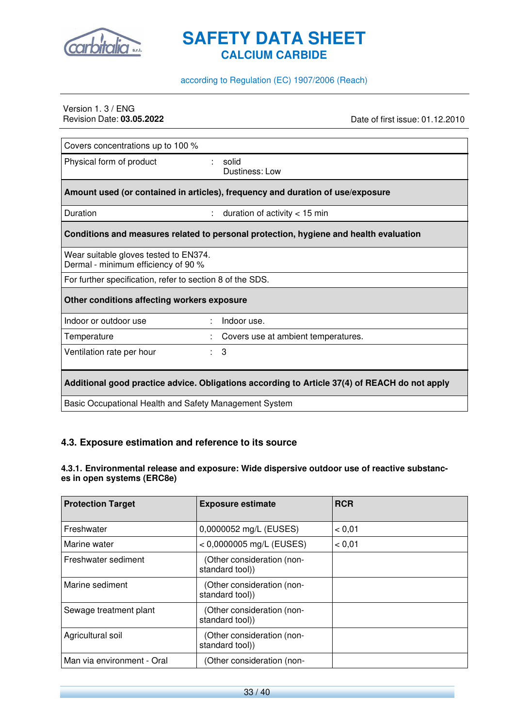

#### according to Regulation (EC) 1907/2006 (Reach)

## Version 1. 3 / ENG<br>Revision Date: 03.05.2022

Revision Date: **03.05.2022** Date of first issue: 01.12.2010

| Covers concentrations up to 100 %                                                             |                                                                                       |  |
|-----------------------------------------------------------------------------------------------|---------------------------------------------------------------------------------------|--|
| Physical form of product                                                                      | solid<br>Dustiness: Low                                                               |  |
|                                                                                               | Amount used (or contained in articles), frequency and duration of use/exposure        |  |
| Duration                                                                                      | duration of activity $<$ 15 min<br>÷                                                  |  |
|                                                                                               | Conditions and measures related to personal protection, hygiene and health evaluation |  |
| Wear suitable gloves tested to EN374.<br>Dermal - minimum efficiency of 90 %                  |                                                                                       |  |
| For further specification, refer to section 8 of the SDS.                                     |                                                                                       |  |
| Other conditions affecting workers exposure                                                   |                                                                                       |  |
| Indoor or outdoor use                                                                         | Indoor use.                                                                           |  |
| Temperature                                                                                   | Covers use at ambient temperatures.                                                   |  |
| Ventilation rate per hour                                                                     | 3<br>÷.                                                                               |  |
| Additional good practice advice. Obligations according to Article 37(4) of REACH do not apply |                                                                                       |  |
| Basic Occupational Health and Safety Management System                                        |                                                                                       |  |

### **4.3. Exposure estimation and reference to its source**

#### **4.3.1. Environmental release and exposure: Wide dispersive outdoor use of reactive substances in open systems (ERC8e)**

| <b>Protection Target</b>   | <b>Exposure estimate</b>                      | <b>RCR</b> |
|----------------------------|-----------------------------------------------|------------|
| Freshwater                 | 0,0000052 mg/L (EUSES)                        | < 0.01     |
| Marine water               | $< 0,0000005$ mg/L (EUSES)                    | < 0.01     |
| Freshwater sediment        | (Other consideration (non-<br>standard tool)) |            |
| Marine sediment            | (Other consideration (non-<br>standard tool)) |            |
| Sewage treatment plant     | (Other consideration (non-<br>standard tool)) |            |
| Agricultural soil          | (Other consideration (non-<br>standard tool)) |            |
| Man via environment - Oral | (Other consideration (non-                    |            |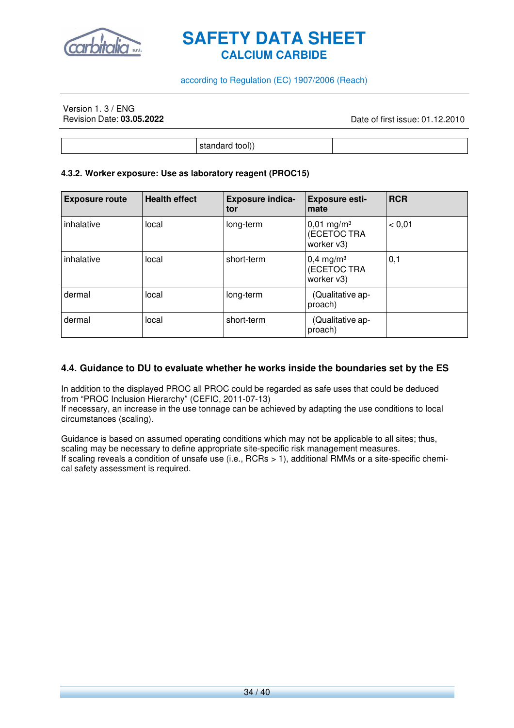

#### according to Regulation (EC) 1907/2006 (Reach)

## Version 1. 3 / ENG<br>Revision Date: **03.05.2022**

Revision Date: **03.05.2022** Date of first issue: 01.12.2010

standard tool))

#### **4.3.2. Worker exposure: Use as laboratory reagent (PROC15)**

| <b>Exposure route</b> | <b>Health effect</b> | <b>Exposure indica-</b><br>tor | <b>Exposure esti-</b><br>mate                         | <b>RCR</b> |
|-----------------------|----------------------|--------------------------------|-------------------------------------------------------|------------|
| inhalative            | local                | long-term                      | $0,01$ mg/m <sup>3</sup><br>(ECETOC TRA<br>worker v3) | < 0.01     |
| inhalative            | local                | short-term                     | $0,4$ mg/m <sup>3</sup><br>(ECETOC TRA<br>worker v3)  | 0,1        |
| dermal                | local                | long-term                      | (Qualitative ap-<br>proach)                           |            |
| dermal                | local                | short-term                     | (Qualitative ap-<br>proach)                           |            |

#### **4.4. Guidance to DU to evaluate whether he works inside the boundaries set by the ES**

In addition to the displayed PROC all PROC could be regarded as safe uses that could be deduced from "PROC Inclusion Hierarchy" (CEFIC, 2011-07-13) If necessary, an increase in the use tonnage can be achieved by adapting the use conditions to local circumstances (scaling).

Guidance is based on assumed operating conditions which may not be applicable to all sites; thus, scaling may be necessary to define appropriate site-specific risk management measures. If scaling reveals a condition of unsafe use (i.e., RCRs > 1), additional RMMs or a site-specific chemical safety assessment is required.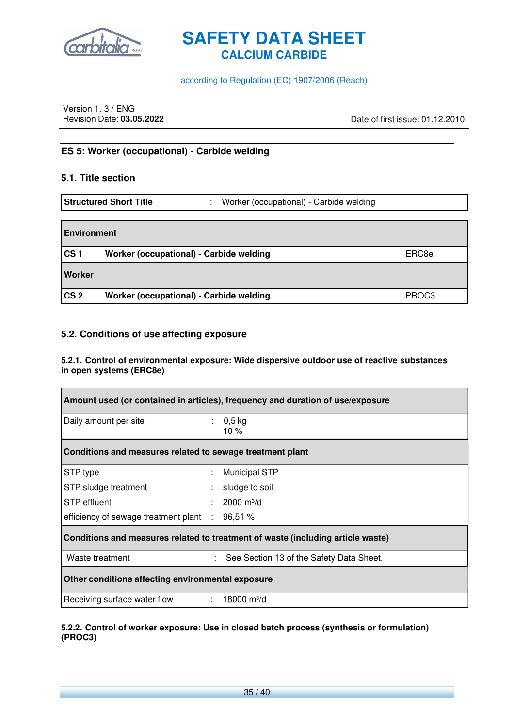

according to Regulation (EC) 1907/2006 (Reach)

Version 1. 3 / ENG<br>Revision Date: 03.05.2022

Revision Date: **03.05.2022** Date of first issue: 01.12.2010

#### **ES 5: Worker (occupational) - Carbide welding**

#### **5.1. Title section**

|                    | <b>Structured Short Title</b><br>٠      | Worker (occupational) - Carbide welding |                   |
|--------------------|-----------------------------------------|-----------------------------------------|-------------------|
|                    |                                         |                                         |                   |
| <b>Environment</b> |                                         |                                         |                   |
| CS <sub>1</sub>    | Worker (occupational) - Carbide welding |                                         | ERC8e             |
| Worker             |                                         |                                         |                   |
| CS <sub>2</sub>    | Worker (occupational) - Carbide welding |                                         | PROC <sub>3</sub> |

#### **5.2. Conditions of use affecting exposure**

#### **5.2.1. Control of environmental exposure: Wide dispersive outdoor use of reactive substances in open systems (ERC8e)**

| Amount used (or contained in articles), frequency and duration of use/exposure  |  |                                          |
|---------------------------------------------------------------------------------|--|------------------------------------------|
| Daily amount per site                                                           |  | : $0,5$ kg<br>10%                        |
| Conditions and measures related to sewage treatment plant                       |  |                                          |
| STP type                                                                        |  | <b>Municipal STP</b>                     |
| STP sludge treatment                                                            |  | sludge to soil                           |
| STP effluent                                                                    |  | $2000 \text{ m}^3/\text{d}$              |
| efficiency of sewage treatment plant : 96,51 %                                  |  |                                          |
| Conditions and measures related to treatment of waste (including article waste) |  |                                          |
| Waste treatment                                                                 |  | See Section 13 of the Safety Data Sheet. |
| Other conditions affecting environmental exposure                               |  |                                          |
| Receiving surface water flow                                                    |  | $: 18000 \text{ m}^3/\text{d}$           |

#### **5.2.2. Control of worker exposure: Use in closed batch process (synthesis or formulation) (PROC3)**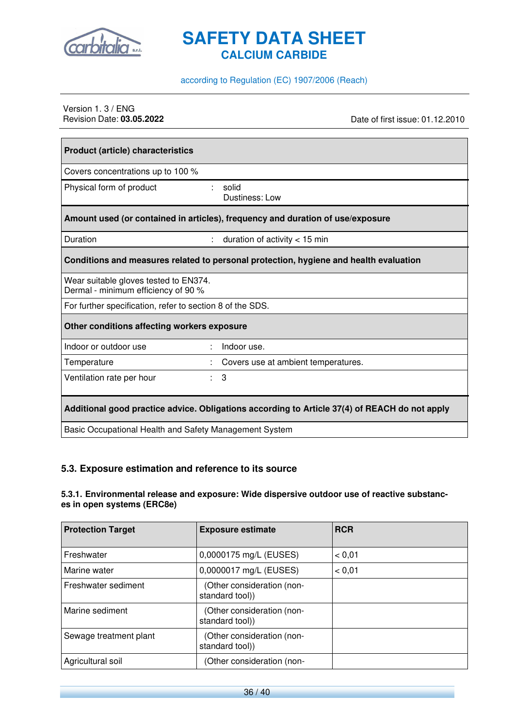

according to Regulation (EC) 1907/2006 (Reach)

## Version 1. 3 / ENG<br>Revision Date: 03.05.2022

Date of first issue: 01.12.2010

| <b>Product (article) characteristics</b>                                     |                                                                                               |
|------------------------------------------------------------------------------|-----------------------------------------------------------------------------------------------|
| Covers concentrations up to 100 %                                            |                                                                                               |
| Physical form of product                                                     | solid<br>Dustiness: Low                                                                       |
|                                                                              | Amount used (or contained in articles), frequency and duration of use/exposure                |
| Duration                                                                     | duration of activity $<$ 15 min                                                               |
|                                                                              | Conditions and measures related to personal protection, hygiene and health evaluation         |
| Wear suitable gloves tested to EN374.<br>Dermal - minimum efficiency of 90 % |                                                                                               |
| For further specification, refer to section 8 of the SDS.                    |                                                                                               |
| Other conditions affecting workers exposure                                  |                                                                                               |
| Indoor or outdoor use                                                        | Indoor use.<br>÷                                                                              |
| Temperature                                                                  | Covers use at ambient temperatures.                                                           |
| Ventilation rate per hour                                                    | 3<br>÷.                                                                                       |
|                                                                              | Additional good practice advice. Obligations according to Article 37(4) of REACH do not apply |
| Basic Occupational Health and Safety Management System                       |                                                                                               |

#### **5.3. Exposure estimation and reference to its source**

#### **5.3.1. Environmental release and exposure: Wide dispersive outdoor use of reactive substances in open systems (ERC8e)**

| <b>Protection Target</b> | <b>Exposure estimate</b>                      | <b>RCR</b> |
|--------------------------|-----------------------------------------------|------------|
| Freshwater               | 0,0000175 mg/L (EUSES)                        | < 0.01     |
| Marine water             | 0,0000017 mg/L (EUSES)                        | < 0.01     |
| Freshwater sediment      | (Other consideration (non-<br>standard tool)) |            |
| Marine sediment          | (Other consideration (non-<br>standard tool)) |            |
| Sewage treatment plant   | (Other consideration (non-<br>standard tool)) |            |
| Agricultural soil        | (Other consideration (non-                    |            |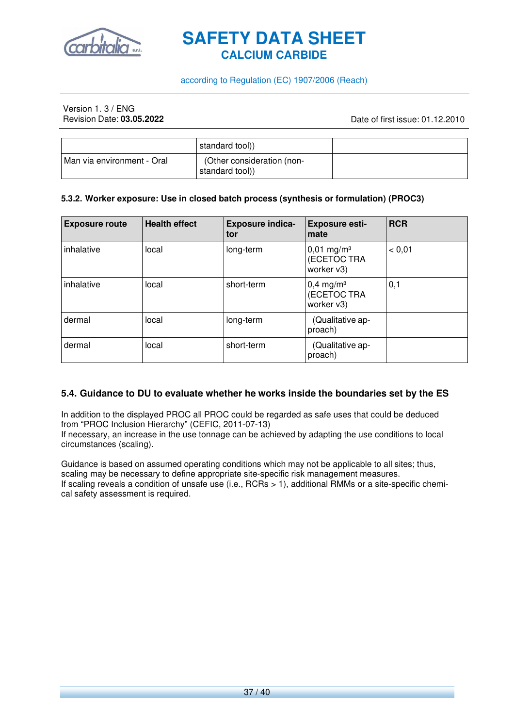

#### according to Regulation (EC) 1907/2006 (Reach)

## Version 1. 3 / ENG<br>Revision Date: **03.05.2022**

Revision Date: **03.05.2022** Date of first issue: 01.12.2010

|                              | standard tool))                               |  |
|------------------------------|-----------------------------------------------|--|
| I Man via environment - Oral | (Other consideration (non-<br>standard tool)) |  |

#### **5.3.2. Worker exposure: Use in closed batch process (synthesis or formulation) (PROC3)**

| <b>Exposure route</b> | <b>Health effect</b> | <b>Exposure indica-</b><br>tor | <b>Exposure esti-</b><br>mate                         | <b>RCR</b> |
|-----------------------|----------------------|--------------------------------|-------------------------------------------------------|------------|
| inhalative            | local                | long-term                      | $0,01$ mg/m <sup>3</sup><br>(ECETOC TRA<br>worker v3) | < 0.01     |
| inhalative            | local                | short-term                     | $0,4$ mg/m <sup>3</sup><br>(ECETOC TRA<br>worker v3)  | 0,1        |
| dermal                | local                | long-term                      | (Qualitative ap-<br>proach)                           |            |
| dermal                | local                | short-term                     | (Qualitative ap-<br>proach)                           |            |

#### **5.4. Guidance to DU to evaluate whether he works inside the boundaries set by the ES**

In addition to the displayed PROC all PROC could be regarded as safe uses that could be deduced from "PROC Inclusion Hierarchy" (CEFIC, 2011-07-13)

If necessary, an increase in the use tonnage can be achieved by adapting the use conditions to local circumstances (scaling).

Guidance is based on assumed operating conditions which may not be applicable to all sites; thus, scaling may be necessary to define appropriate site-specific risk management measures. If scaling reveals a condition of unsafe use (i.e., RCRs > 1), additional RMMs or a site-specific chemical safety assessment is required.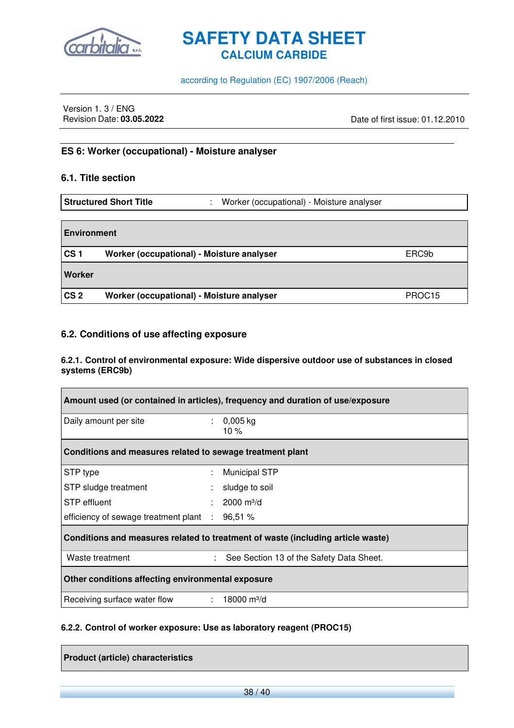

according to Regulation (EC) 1907/2006 (Reach)

Version 1. 3 / ENG<br>Revision Date: 03.05.2022

Revision Date: **03.05.2022** Date of first issue: 01.12.2010

#### **ES 6: Worker (occupational) - Moisture analyser**

#### **6.1. Title section**

| <b>Structured Short Title</b> | Worker (occupational) - Moisture analyser |
|-------------------------------|-------------------------------------------|
|                               |                                           |

| <b>Environment</b> |                                                    |                    |  |  |  |
|--------------------|----------------------------------------------------|--------------------|--|--|--|
| CS <sub>1</sub>    | Worker (occupational) - Moisture analyser<br>ERC9b |                    |  |  |  |
| Worker             |                                                    |                    |  |  |  |
| CS <sub>2</sub>    | Worker (occupational) - Moisture analyser          | PROC <sub>15</sub> |  |  |  |

#### **6.2. Conditions of use affecting exposure**

#### **6.2.1. Control of environmental exposure: Wide dispersive outdoor use of substances in closed systems (ERC9b)**

| Amount used (or contained in articles), frequency and duration of use/exposure  |   |                                          |  |  |
|---------------------------------------------------------------------------------|---|------------------------------------------|--|--|
| Daily amount per site                                                           |   | : $0,005$ kg<br>10 $%$                   |  |  |
| Conditions and measures related to sewage treatment plant                       |   |                                          |  |  |
| STP type                                                                        |   | <b>Municipal STP</b>                     |  |  |
| STP sludge treatment                                                            |   | sludge to soil                           |  |  |
| STP effluent                                                                    |   | $2000 \text{ m}^3/\text{d}$              |  |  |
| efficiency of sewage treatment plant $\therefore$ 96,51 %                       |   |                                          |  |  |
| Conditions and measures related to treatment of waste (including article waste) |   |                                          |  |  |
| Waste treatment                                                                 | ÷ | See Section 13 of the Safety Data Sheet. |  |  |
| Other conditions affecting environmental exposure                               |   |                                          |  |  |
| Receiving surface water flow : 18000 m <sup>3</sup> /d                          |   |                                          |  |  |

#### **6.2.2. Control of worker exposure: Use as laboratory reagent (PROC15)**

**Product (article) characteristics**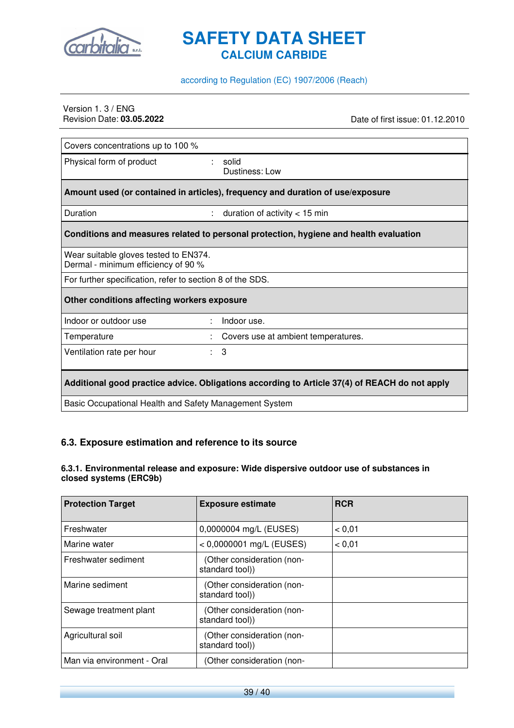

#### according to Regulation (EC) 1907/2006 (Reach)

## Version 1. 3 / ENG<br>Revision Date: 03.05.2022

Revision Date: **03.05.2022** Date of first issue: 01.12.2010

| Covers concentrations up to 100 %                                                             |                                                                                       |  |  |  |
|-----------------------------------------------------------------------------------------------|---------------------------------------------------------------------------------------|--|--|--|
| Physical form of product                                                                      | solid<br>Dustiness: Low                                                               |  |  |  |
|                                                                                               | Amount used (or contained in articles), frequency and duration of use/exposure        |  |  |  |
| Duration<br>÷                                                                                 | duration of activity $<$ 15 min                                                       |  |  |  |
|                                                                                               | Conditions and measures related to personal protection, hygiene and health evaluation |  |  |  |
| Wear suitable gloves tested to EN374.<br>Dermal - minimum efficiency of 90 %                  |                                                                                       |  |  |  |
| For further specification, refer to section 8 of the SDS.                                     |                                                                                       |  |  |  |
| Other conditions affecting workers exposure                                                   |                                                                                       |  |  |  |
| Indoor or outdoor use                                                                         | Indoor use.                                                                           |  |  |  |
| Temperature                                                                                   | Covers use at ambient temperatures.                                                   |  |  |  |
| Ventilation rate per hour<br>÷.                                                               | 3                                                                                     |  |  |  |
| Additional good practice advice. Obligations according to Article 37(4) of REACH do not apply |                                                                                       |  |  |  |
| Basic Occupational Health and Safety Management System                                        |                                                                                       |  |  |  |

### **6.3. Exposure estimation and reference to its source**

#### **6.3.1. Environmental release and exposure: Wide dispersive outdoor use of substances in closed systems (ERC9b)**

| <b>Protection Target</b>   | <b>Exposure estimate</b>                      | <b>RCR</b> |
|----------------------------|-----------------------------------------------|------------|
| Freshwater                 | 0,0000004 mg/L (EUSES)                        | < 0.01     |
| Marine water               | $< 0,0000001$ mg/L (EUSES)                    | < 0.01     |
| Freshwater sediment        | (Other consideration (non-<br>standard tool)) |            |
| Marine sediment            | (Other consideration (non-<br>standard tool)) |            |
| Sewage treatment plant     | (Other consideration (non-<br>standard tool)) |            |
| Agricultural soil          | (Other consideration (non-<br>standard tool)) |            |
| Man via environment - Oral | (Other consideration (non-                    |            |